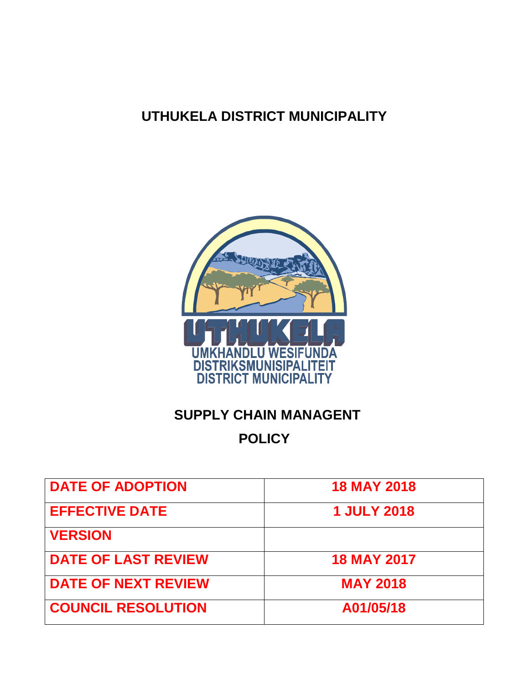# **UTHUKELA DISTRICT MUNICIPALITY**



# **SUPPLY CHAIN MANAGENT**

**POLICY**

| <b>DATE OF ADOPTION</b>    | <b>18 MAY 2018</b> |
|----------------------------|--------------------|
| <b>EFFECTIVE DATE</b>      | <b>1 JULY 2018</b> |
| <b>VERSION</b>             |                    |
| <b>DATE OF LAST REVIEW</b> | <b>18 MAY 2017</b> |
| <b>DATE OF NEXT REVIEW</b> | <b>MAY 2018</b>    |
| <b>COUNCIL RESOLUTION</b>  | A01/05/18          |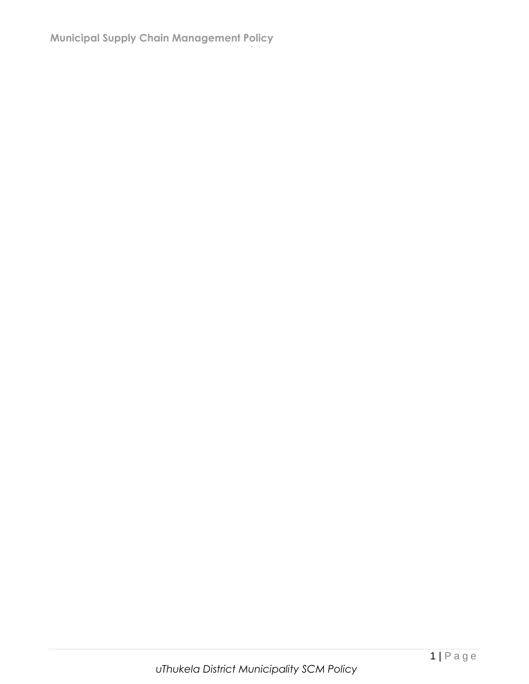**Page 1 of 37**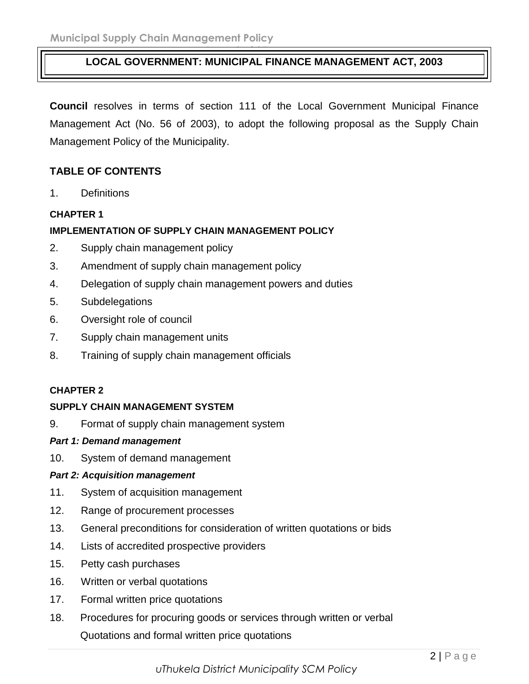#### **Page 2 of 37 LOCAL GOVERNMENT: MUNICIPAL FINANCE MANAGEMENT ACT, 2003**

**Council** resolves in terms of section 111 of the Local Government Municipal Finance Management Act (No. 56 of 2003), to adopt the following proposal as the Supply Chain Management Policy of the Municipality.

# **TABLE OF CONTENTS**

1. Definitions

#### **CHAPTER 1**

#### **IMPLEMENTATION OF SUPPLY CHAIN MANAGEMENT POLICY**

- 2. Supply chain management policy
- 3. Amendment of supply chain management policy
- 4. Delegation of supply chain management powers and duties
- 5. Subdelegations
- 6. Oversight role of council
- 7. Supply chain management units
- 8. Training of supply chain management officials

#### **CHAPTER 2**

#### **SUPPLY CHAIN MANAGEMENT SYSTEM**

9. Format of supply chain management system

#### *Part 1: Demand management*

10. System of demand management

#### *Part 2: Acquisition management*

- 11. System of acquisition management
- 12. Range of procurement processes
- 13. General preconditions for consideration of written quotations or bids
- 14. Lists of accredited prospective providers
- 15. Petty cash purchases
- 16. Written or verbal quotations
- 17. Formal written price quotations
- 18. Procedures for procuring goods or services through written or verbal Quotations and formal written price quotations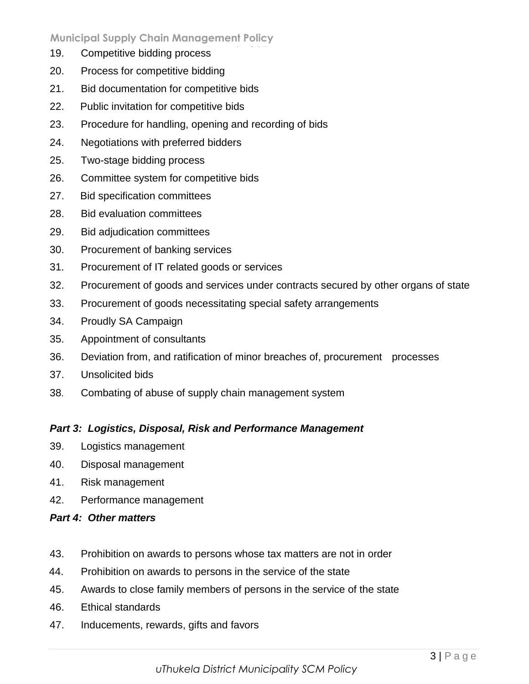- 19. Competitive bidding process
- 20. Process for competitive bidding
- 21. Bid documentation for competitive bids
- 22. Public invitation for competitive bids
- 23. Procedure for handling, opening and recording of bids
- 24. Negotiations with preferred bidders
- 25. Two-stage bidding process
- 26. Committee system for competitive bids
- 27. Bid specification committees
- 28. Bid evaluation committees
- 29. Bid adjudication committees
- 30. Procurement of banking services
- 31. Procurement of IT related goods or services
- 32. Procurement of goods and services under contracts secured by other organs of state
- 33. Procurement of goods necessitating special safety arrangements
- 34. Proudly SA Campaign
- 35. Appointment of consultants
- 36. Deviation from, and ratification of minor breaches of, procurement processes
- 37. Unsolicited bids
- 38. Combating of abuse of supply chain management system

#### *Part 3: Logistics, Disposal, Risk and Performance Management*

- 39. Logistics management
- 40. Disposal management
- 41. Risk management
- 42. Performance management

#### *Part 4: Other matters*

- 43. Prohibition on awards to persons whose tax matters are not in order
- 44. Prohibition on awards to persons in the service of the state
- 45. Awards to close family members of persons in the service of the state
- 46. Ethical standards
- 47. Inducements, rewards, gifts and favors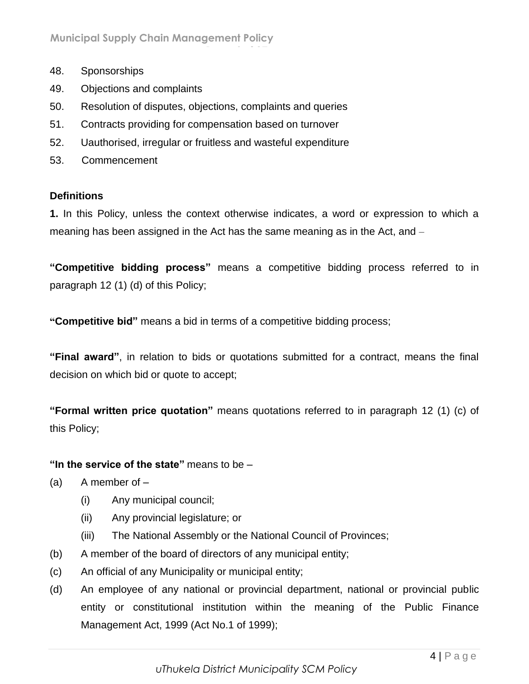- 48. Sponsorships
- 49. Objections and complaints
- 50. Resolution of disputes, objections, complaints and queries

**Page 4 of 37**

- 51. Contracts providing for compensation based on turnover
- 52. Uauthorised, irregular or fruitless and wasteful expenditure
- 53. Commencement

# **Definitions**

**1.** In this Policy, unless the context otherwise indicates, a word or expression to which a meaning has been assigned in the Act has the same meaning as in the Act, and –

**"Competitive bidding process"** means a competitive bidding process referred to in paragraph 12 (1) (d) of this Policy;

**"Competitive bid"** means a bid in terms of a competitive bidding process;

**"Final award"**, in relation to bids or quotations submitted for a contract, means the final decision on which bid or quote to accept;

**"Formal written price quotation"** means quotations referred to in paragraph 12 (1) (c) of this Policy;

# **"In the service of the state"** means to be –

- (a) A member of  $-$ 
	- (i) Any municipal council;
	- (ii) Any provincial legislature; or
	- (iii) The National Assembly or the National Council of Provinces;
- (b) A member of the board of directors of any municipal entity;
- (c) An official of any Municipality or municipal entity;
- (d) An employee of any national or provincial department, national or provincial public entity or constitutional institution within the meaning of the Public Finance Management Act, 1999 (Act No.1 of 1999);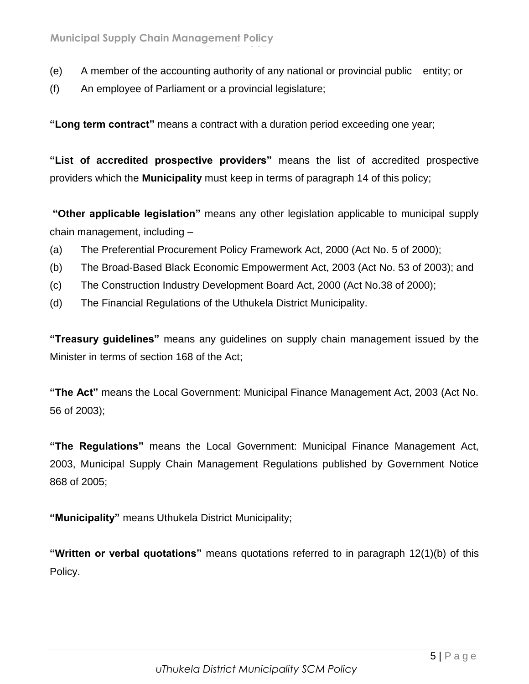- (e) A member of the accounting authority of any national or provincial public entity; or
- (f) An employee of Parliament or a provincial legislature;

**"Long term contract"** means a contract with a duration period exceeding one year;

**Page 5 of 37**

**"List of accredited prospective providers"** means the list of accredited prospective providers which the **Municipality** must keep in terms of paragraph 14 of this policy;

**"Other applicable legislation"** means any other legislation applicable to municipal supply chain management, including –

- (a) The Preferential Procurement Policy Framework Act, 2000 (Act No. 5 of 2000);
- (b) The Broad-Based Black Economic Empowerment Act, 2003 (Act No. 53 of 2003); and
- (c) The Construction Industry Development Board Act, 2000 (Act No.38 of 2000);
- (d) The Financial Regulations of the Uthukela District Municipality.

**"Treasury guidelines"** means any guidelines on supply chain management issued by the Minister in terms of section 168 of the Act;

**"The Act"** means the Local Government: Municipal Finance Management Act, 2003 (Act No. 56 of 2003);

**"The Regulations"** means the Local Government: Municipal Finance Management Act, 2003, Municipal Supply Chain Management Regulations published by Government Notice 868 of 2005;

**"Municipality"** means Uthukela District Municipality;

**"Written or verbal quotations"** means quotations referred to in paragraph 12(1)(b) of this Policy.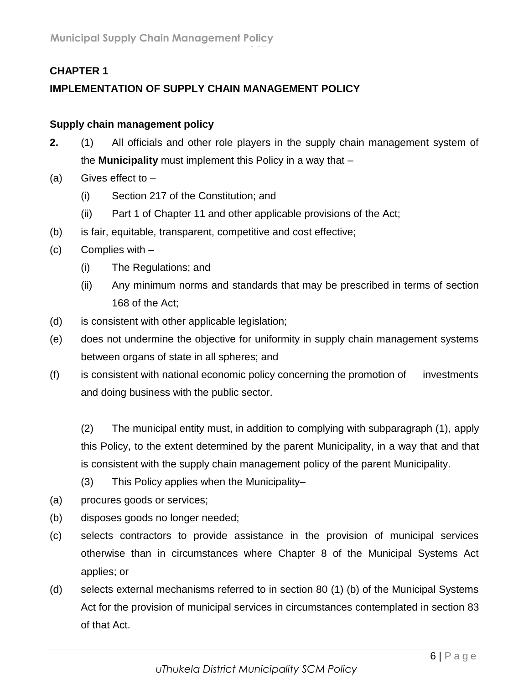# **CHAPTER 1**

# **IMPLEMENTATION OF SUPPLY CHAIN MANAGEMENT POLICY**

# **Supply chain management policy**

- **2.** (1) All officials and other role players in the supply chain management system of the **Municipality** must implement this Policy in a way that –
- (a) Gives effect to  $-$ 
	- (i) Section 217 of the Constitution; and
	- (ii) Part 1 of Chapter 11 and other applicable provisions of the Act;

**Page 6 of 37**

- (b) is fair, equitable, transparent, competitive and cost effective;
- (c) Complies with
	- (i) The Regulations; and
	- (ii) Any minimum norms and standards that may be prescribed in terms of section 168 of the Act;
- (d) is consistent with other applicable legislation;
- (e) does not undermine the objective for uniformity in supply chain management systems between organs of state in all spheres; and
- (f) is consistent with national economic policy concerning the promotion of investments and doing business with the public sector.

(2) The municipal entity must, in addition to complying with subparagraph (1), apply this Policy, to the extent determined by the parent Municipality, in a way that and that is consistent with the supply chain management policy of the parent Municipality.

- (3) This Policy applies when the Municipality–
- (a) procures goods or services;
- (b) disposes goods no longer needed;
- (c) selects contractors to provide assistance in the provision of municipal services otherwise than in circumstances where Chapter 8 of the Municipal Systems Act applies; or
- (d) selects external mechanisms referred to in section 80 (1) (b) of the Municipal Systems Act for the provision of municipal services in circumstances contemplated in section 83 of that Act.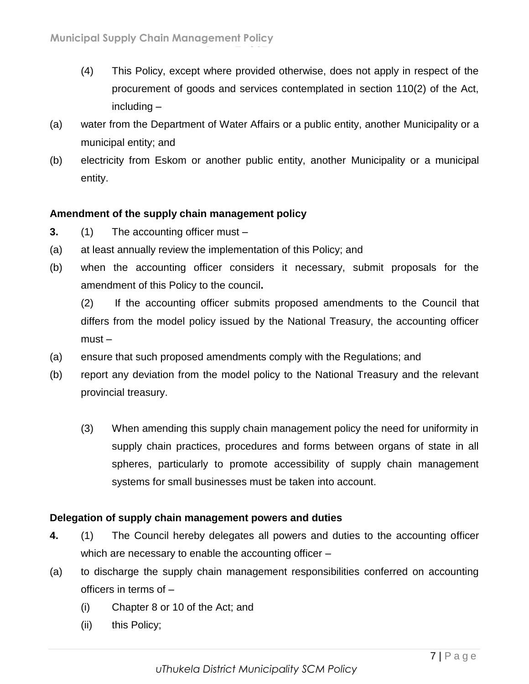- (4) This Policy, except where provided otherwise, does not apply in respect of the procurement of goods and services contemplated in section 110(2) of the Act, including –
- (a) water from the Department of Water Affairs or a public entity, another Municipality or a municipal entity; and

**Page 7 of 37**

(b) electricity from Eskom or another public entity, another Municipality or a municipal entity.

# **Amendment of the supply chain management policy**

- **3.** (1) The accounting officer must –
- (a) at least annually review the implementation of this Policy; and
- (b) when the accounting officer considers it necessary, submit proposals for the amendment of this Policy to the council**.**

(2) If the accounting officer submits proposed amendments to the Council that differs from the model policy issued by the National Treasury, the accounting officer  $must -$ 

- (a) ensure that such proposed amendments comply with the Regulations; and
- (b) report any deviation from the model policy to the National Treasury and the relevant provincial treasury.
	- (3) When amending this supply chain management policy the need for uniformity in supply chain practices, procedures and forms between organs of state in all spheres, particularly to promote accessibility of supply chain management systems for small businesses must be taken into account.

# **Delegation of supply chain management powers and duties**

- **4.** (1) The Council hereby delegates all powers and duties to the accounting officer which are necessary to enable the accounting officer –
- (a) to discharge the supply chain management responsibilities conferred on accounting officers in terms of –
	- (i) Chapter 8 or 10 of the Act; and
	- (ii) this Policy;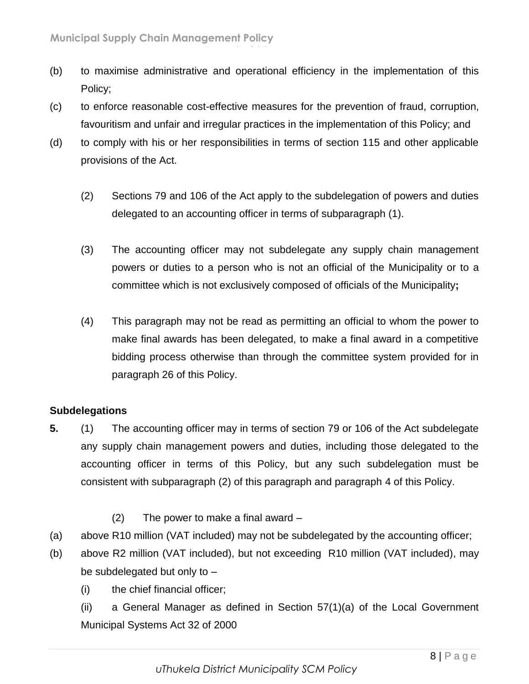(b) to maximise administrative and operational efficiency in the implementation of this Policy;

**Page 8 of 37**

- (c) to enforce reasonable cost-effective measures for the prevention of fraud, corruption, favouritism and unfair and irregular practices in the implementation of this Policy; and
- (d) to comply with his or her responsibilities in terms of section 115 and other applicable provisions of the Act.
	- (2) Sections 79 and 106 of the Act apply to the subdelegation of powers and duties delegated to an accounting officer in terms of subparagraph (1).
	- (3) The accounting officer may not subdelegate any supply chain management powers or duties to a person who is not an official of the Municipality or to a committee which is not exclusively composed of officials of the Municipality**;**
	- (4) This paragraph may not be read as permitting an official to whom the power to make final awards has been delegated, to make a final award in a competitive bidding process otherwise than through the committee system provided for in paragraph 26 of this Policy.

# **Subdelegations**

- **5.** (1) The accounting officer may in terms of section 79 or 106 of the Act subdelegate any supply chain management powers and duties, including those delegated to the accounting officer in terms of this Policy, but any such subdelegation must be consistent with subparagraph (2) of this paragraph and paragraph 4 of this Policy.
	- (2) The power to make a final award –
- (a) above R10 million (VAT included) may not be subdelegated by the accounting officer;
- (b) above R2 million (VAT included), but not exceeding R10 million (VAT included), may be subdelegated but only to –
	- (i) the chief financial officer;

(ii) a General Manager as defined in Section 57(1)(a) of the Local Government Municipal Systems Act 32 of 2000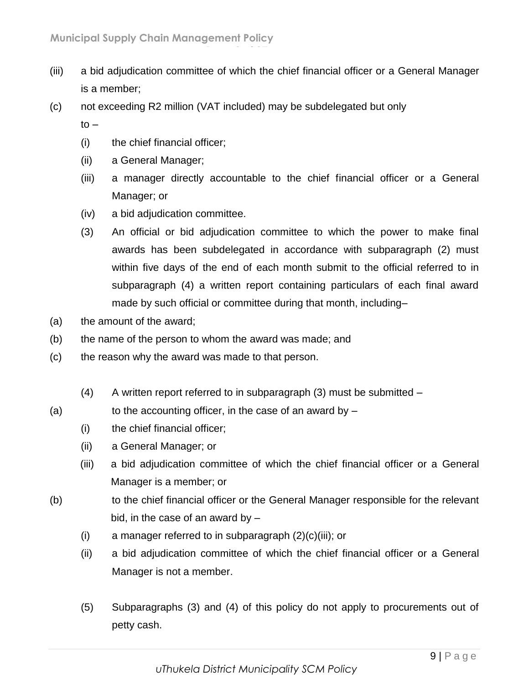- (iii) a bid adjudication committee of which the chief financial officer or a General Manager is a member;
- (c) not exceeding R2 million (VAT included) may be subdelegated but only

**Page 9 of 37**

 $to -$ 

- (i) the chief financial officer;
- (ii) a General Manager;
- (iii) a manager directly accountable to the chief financial officer or a General Manager; or
- (iv) a bid adjudication committee.
- (3) An official or bid adjudication committee to which the power to make final awards has been subdelegated in accordance with subparagraph (2) must within five days of the end of each month submit to the official referred to in subparagraph (4) a written report containing particulars of each final award made by such official or committee during that month, including–
- (a) the amount of the award;
- (b) the name of the person to whom the award was made; and
- (c) the reason why the award was made to that person.
	- (4) A written report referred to in subparagraph  $(3)$  must be submitted  $-$
- (a) to the accounting officer, in the case of an award by  $-$ 
	- (i) the chief financial officer;
	- (ii) a General Manager; or
	- (iii) a bid adjudication committee of which the chief financial officer or a General Manager is a member; or
- (b) to the chief financial officer or the General Manager responsible for the relevant bid, in the case of an award by  $-$ 
	- (i) a manager referred to in subparagraph  $(2)(c)(iii)$ ; or
	- (ii) a bid adjudication committee of which the chief financial officer or a General Manager is not a member.
	- (5) Subparagraphs (3) and (4) of this policy do not apply to procurements out of petty cash.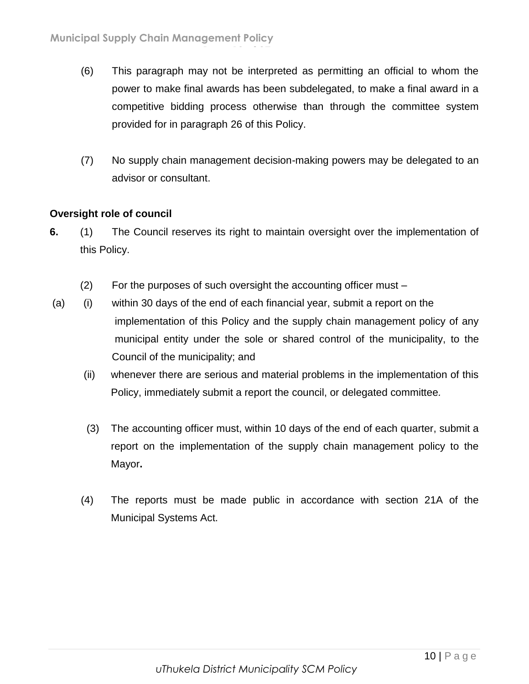- (6) This paragraph may not be interpreted as permitting an official to whom the power to make final awards has been subdelegated, to make a final award in a competitive bidding process otherwise than through the committee system provided for in paragraph 26 of this Policy.
- (7) No supply chain management decision-making powers may be delegated to an advisor or consultant.

# **Oversight role of council**

- **6.** (1) The Council reserves its right to maintain oversight over the implementation of this Policy.
	- (2) For the purposes of such oversight the accounting officer must –

**Page 10 of 37**

- (a) (i) within 30 days of the end of each financial year, submit a report on the implementation of this Policy and the supply chain management policy of any municipal entity under the sole or shared control of the municipality, to the Council of the municipality; and
	- (ii) whenever there are serious and material problems in the implementation of this Policy, immediately submit a report the council, or delegated committee*.*
	- (3) The accounting officer must, within 10 days of the end of each quarter, submit a report on the implementation of the supply chain management policy to the Mayor**.**
	- (4) The reports must be made public in accordance with section 21A of the Municipal Systems Act.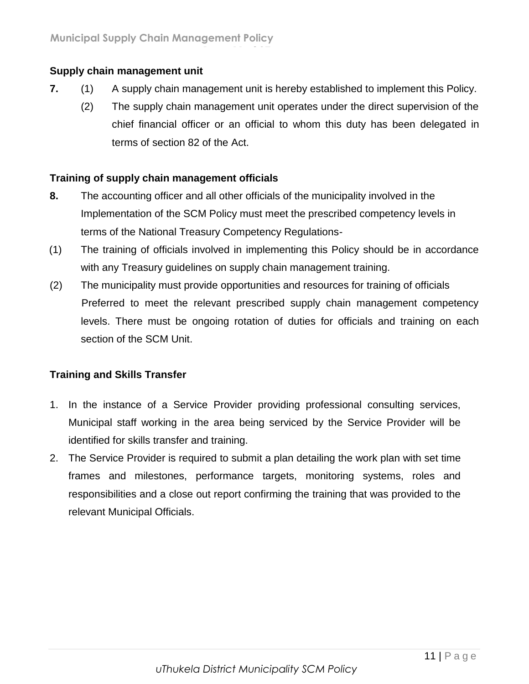# **Supply chain management unit**

**7.** (1) A supply chain management unit is hereby established to implement this Policy.

**Page 11 of 37**

(2) The supply chain management unit operates under the direct supervision of the chief financial officer or an official to whom this duty has been delegated in terms of section 82 of the Act.

### **Training of supply chain management officials**

- **8.** The accounting officer and all other officials of the municipality involved in the Implementation of the SCM Policy must meet the prescribed competency levels in terms of the National Treasury Competency Regulations-
- (1) The training of officials involved in implementing this Policy should be in accordance with any Treasury guidelines on supply chain management training.
- (2) The municipality must provide opportunities and resources for training of officials Preferred to meet the relevant prescribed supply chain management competency levels. There must be ongoing rotation of duties for officials and training on each section of the SCM Unit.

#### **Training and Skills Transfer**

- 1. In the instance of a Service Provider providing professional consulting services, Municipal staff working in the area being serviced by the Service Provider will be identified for skills transfer and training.
- 2. The Service Provider is required to submit a plan detailing the work plan with set time frames and milestones, performance targets, monitoring systems, roles and responsibilities and a close out report confirming the training that was provided to the relevant Municipal Officials.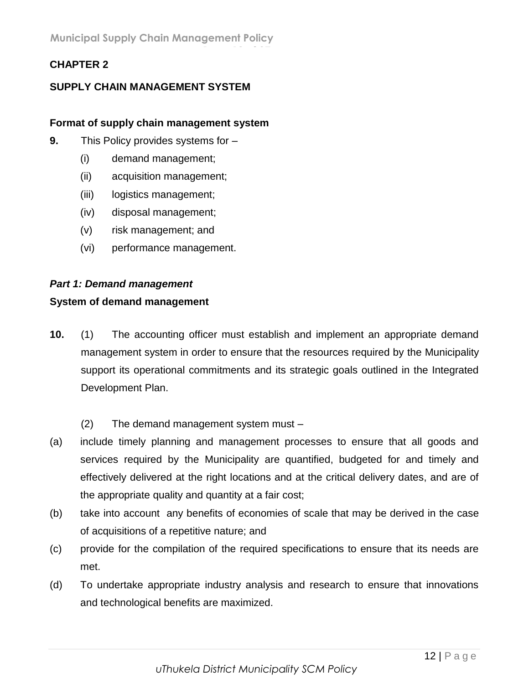**Page 12 of 37**

# **CHAPTER 2**

# **SUPPLY CHAIN MANAGEMENT SYSTEM**

# **Format of supply chain management system**

- **9.** This Policy provides systems for
	- (i) demand management;
	- (ii) acquisition management;
	- (iii) logistics management;
	- (iv) disposal management;
	- (v) risk management; and
	- (vi) performance management.

# *Part 1: Demand management*

# **System of demand management**

- **10.** (1) The accounting officer must establish and implement an appropriate demand management system in order to ensure that the resources required by the Municipality support its operational commitments and its strategic goals outlined in the Integrated Development Plan.
	- (2) The demand management system must –
- (a) include timely planning and management processes to ensure that all goods and services required by the Municipality are quantified, budgeted for and timely and effectively delivered at the right locations and at the critical delivery dates, and are of the appropriate quality and quantity at a fair cost;
- (b) take into account any benefits of economies of scale that may be derived in the case of acquisitions of a repetitive nature; and
- (c) provide for the compilation of the required specifications to ensure that its needs are met.
- (d) To undertake appropriate industry analysis and research to ensure that innovations and technological benefits are maximized.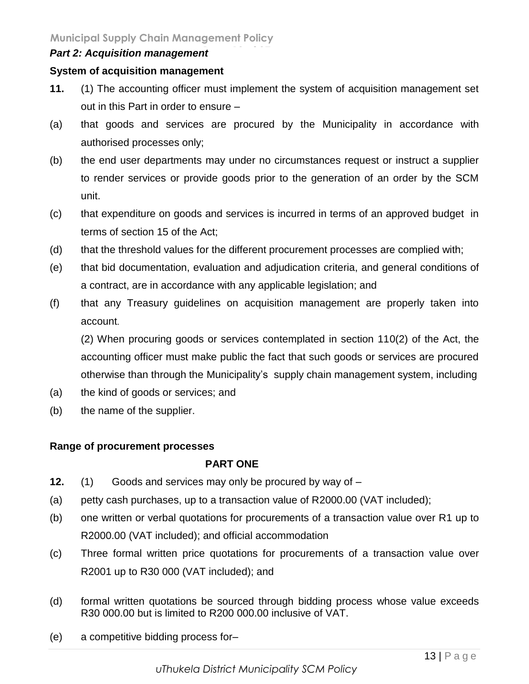#### **Part 2: Acquisition management**

# **System of acquisition management**

- **11.** (1) The accounting officer must implement the system of acquisition management set out in this Part in order to ensure –
- (a) that goods and services are procured by the Municipality in accordance with authorised processes only;
- (b) the end user departments may under no circumstances request or instruct a supplier to render services or provide goods prior to the generation of an order by the SCM unit.
- (c) that expenditure on goods and services is incurred in terms of an approved budget in terms of section 15 of the Act;
- (d) that the threshold values for the different procurement processes are complied with;
- (e) that bid documentation, evaluation and adjudication criteria, and general conditions of a contract, are in accordance with any applicable legislation; and
- (f) that any Treasury guidelines on acquisition management are properly taken into account.

(2) When procuring goods or services contemplated in section 110(2) of the Act, the accounting officer must make public the fact that such goods or services are procured otherwise than through the Municipality's supply chain management system, including

- (a) the kind of goods or services; and
- (b) the name of the supplier.

#### **Range of procurement processes**

#### **PART ONE**

- **12.** (1) Goods and services may only be procured by way of –
- (a) petty cash purchases, up to a transaction value of R2000.00 (VAT included);
- (b) one written or verbal quotations for procurements of a transaction value over R1 up to R2000.00 (VAT included); and official accommodation
- (c) Three formal written price quotations for procurements of a transaction value over R2001 up to R30 000 (VAT included); and
- (d) formal written quotations be sourced through bidding process whose value exceeds R30 000.00 but is limited to R200 000.00 inclusive of VAT.
- (e) a competitive bidding process for–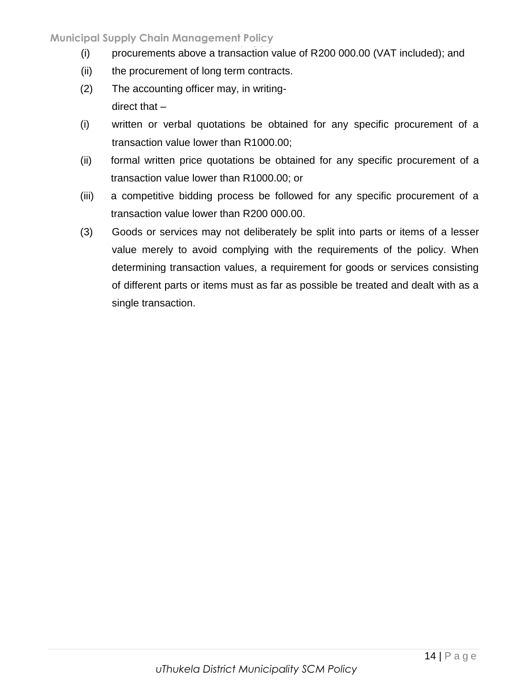- (i) procurements above a transaction value of R200 000.00 (VAT included); and
- (ii) the procurement of long term contracts.
- (2) The accounting officer may, in writingdirect that –
- (i) written or verbal quotations be obtained for any specific procurement of a transaction value lower than R1000.00;
- (ii) formal written price quotations be obtained for any specific procurement of a transaction value lower than R1000.00; or
- (iii) a competitive bidding process be followed for any specific procurement of a transaction value lower than R200 000.00.
- (3) Goods or services may not deliberately be split into parts or items of a lesser value merely to avoid complying with the requirements of the policy. When determining transaction values, a requirement for goods or services consisting of different parts or items must as far as possible be treated and dealt with as a single transaction.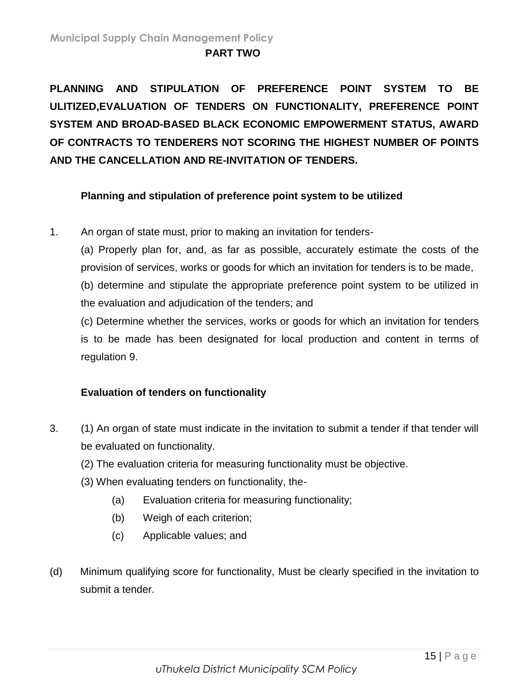**PLANNING AND STIPULATION OF PREFERENCE POINT SYSTEM TO BE ULITIZED,EVALUATION OF TENDERS ON FUNCTIONALITY, PREFERENCE POINT SYSTEM AND BROAD-BASED BLACK ECONOMIC EMPOWERMENT STATUS, AWARD OF CONTRACTS TO TENDERERS NOT SCORING THE HIGHEST NUMBER OF POINTS AND THE CANCELLATION AND RE-INVITATION OF TENDERS.**

# **Planning and stipulation of preference point system to be utilized**

1. An organ of state must, prior to making an invitation for tenders-

(a) Properly plan for, and, as far as possible, accurately estimate the costs of the provision of services, works or goods for which an invitation for tenders is to be made,

(b) determine and stipulate the appropriate preference point system to be utilized in the evaluation and adjudication of the tenders; and

(c) Determine whether the services, works or goods for which an invitation for tenders is to be made has been designated for local production and content in terms of regulation 9.

# **Evaluation of tenders on functionality**

- 3. (1) An organ of state must indicate in the invitation to submit a tender if that tender will be evaluated on functionality.
	- (2) The evaluation criteria for measuring functionality must be objective.
	- (3) When evaluating tenders on functionality, the-
		- (a) Evaluation criteria for measuring functionality;
		- (b) Weigh of each criterion;
		- (c) Applicable values; and
- (d) Minimum qualifying score for functionality, Must be clearly specified in the invitation to submit a tender.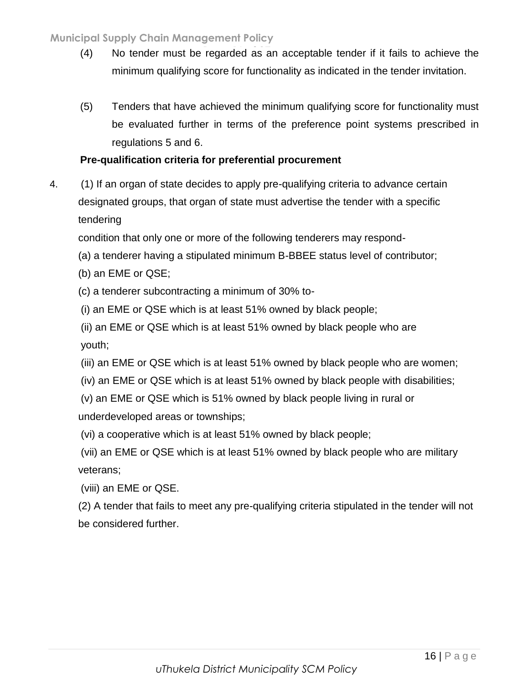- (4) No tender must be regarded as an acceptable tender if it fails to achieve the minimum qualifying score for functionality as indicated in the tender invitation.
- (5) Tenders that have achieved the minimum qualifying score for functionality must be evaluated further in terms of the preference point systems prescribed in regulations 5 and 6.

# **Pre-qualification criteria for preferential procurement**

4. (1) If an organ of state decides to apply pre-qualifying criteria to advance certain designated groups, that organ of state must advertise the tender with a specific tendering

condition that only one or more of the following tenderers may respond-

- (a) a tenderer having a stipulated minimum B-BBEE status level of contributor;
- (b) an EME or QSE;
- (c) a tenderer subcontracting a minimum of 30% to-
- (i) an EME or QSE which is at least 51% owned by black people;
- (ii) an EME or QSE which is at least 51% owned by black people who are youth;
- (iii) an EME or QSE which is at least 51% owned by black people who are women;
- (iv) an EME or QSE which is at least 51% owned by black people with disabilities;
- (v) an EME or QSE which is 51% owned by black people living in rural or

underdeveloped areas or townships;

(vi) a cooperative which is at least 51% owned by black people;

(vii) an EME or QSE which is at least 51% owned by black people who are military veterans;

(viii) an EME or QSE.

(2) A tender that fails to meet any pre-qualifying criteria stipulated in the tender will not be considered further.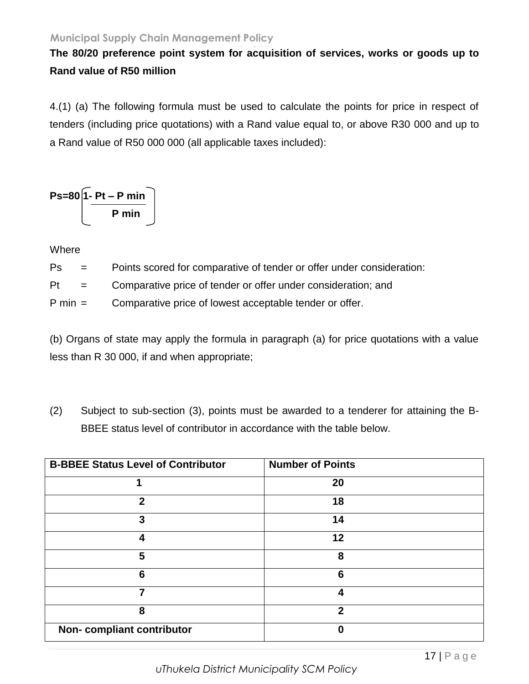# The 80/20 preference point system for acquisition of services, works or goods up to **Rand value of R50 million**

4.(1) (a) The following formula must be used to calculate the points for price in respect of tenders (including price quotations) with a Rand value equal to, or above R30 000 and up to a Rand value of R50 000 000 (all applicable taxes included):

$$
Ps=80\left[\frac{1-Pt-P\min P\min P}{P\min}\right]
$$

Where

| Ps | Points scored for comparative of tender or offer under consideration: |  |  |
|----|-----------------------------------------------------------------------|--|--|
|    |                                                                       |  |  |

Pt = Comparative price of tender or offer under consideration; and

P min = Comparative price of lowest acceptable tender or offer.

(b) Organs of state may apply the formula in paragraph (a) for price quotations with a value less than R 30 000, if and when appropriate;

(2) Subject to sub-section (3), points must be awarded to a tenderer for attaining the B-BBEE status level of contributor in accordance with the table below.

| <b>B-BBEE Status Level of Contributor</b> | <b>Number of Points</b> |
|-------------------------------------------|-------------------------|
|                                           | 20                      |
| $\mathbf 2$                               | 18                      |
| 3                                         | 14                      |
| 4                                         | 12                      |
| 5                                         | 8                       |
| 6                                         | 6                       |
| 7                                         | 4                       |
| 8                                         | 2                       |
| Non-compliant contributor                 | 0                       |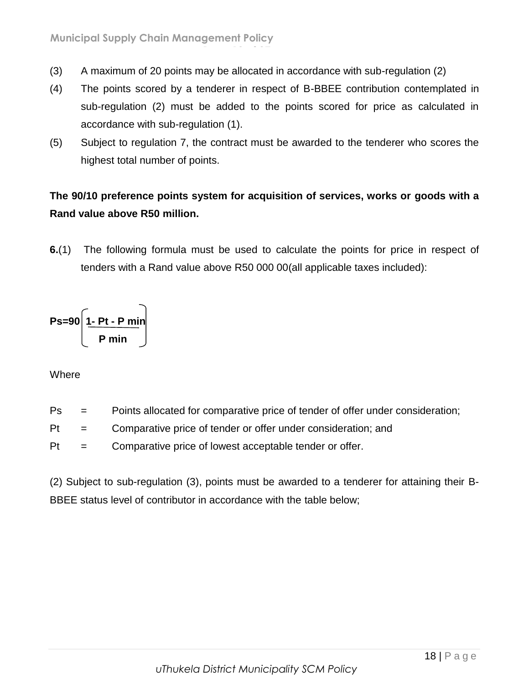(3) A maximum of 20 points may be allocated in accordance with sub-regulation (2)

**Page 18 of 37**

- (4) The points scored by a tenderer in respect of B-BBEE contribution contemplated in sub-regulation (2) must be added to the points scored for price as calculated in accordance with sub-regulation (1).
- (5) Subject to regulation 7, the contract must be awarded to the tenderer who scores the highest total number of points.

# **The 90/10 preference points system for acquisition of services, works or goods with a Rand value above R50 million.**

**6.**(1) The following formula must be used to calculate the points for price in respect of tenders with a Rand value above R50 000 00(all applicable taxes included):

$$
Ps=90\left[\frac{1-Pt-P\text{ min}}{P\text{ min}}\right]
$$

Where

- Ps = Points allocated for comparative price of tender of offer under consideration;
- $Pt =$  Comparative price of tender or offer under consideration: and
- Pt = Comparative price of lowest acceptable tender or offer.

(2) Subject to sub-regulation (3), points must be awarded to a tenderer for attaining their B-BBEE status level of contributor in accordance with the table below;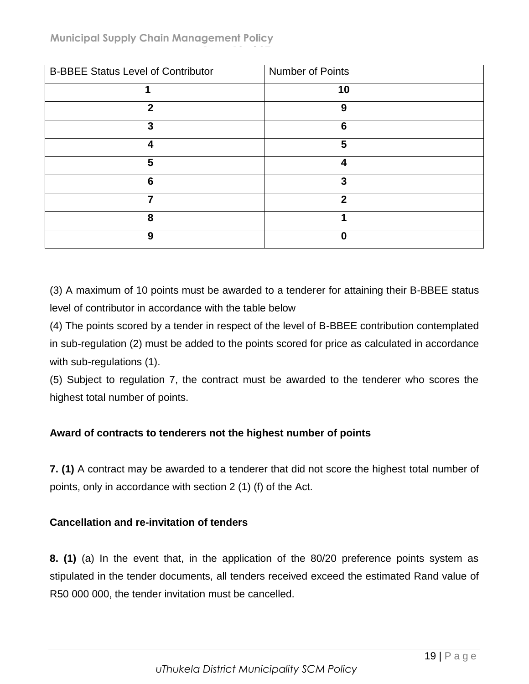| <b>B-BBEE Status Level of Contributor</b> | <b>Number of Points</b> |
|-------------------------------------------|-------------------------|
|                                           | 10                      |
| 2                                         | 9                       |
| 3                                         | 6                       |
|                                           | 5                       |
| 5                                         |                         |
| 6                                         | 3                       |
|                                           | າ                       |
| 8                                         |                         |
| 9                                         |                         |

**Page 19 of 37**

(3) A maximum of 10 points must be awarded to a tenderer for attaining their B-BBEE status level of contributor in accordance with the table below

(4) The points scored by a tender in respect of the level of B-BBEE contribution contemplated in sub-regulation (2) must be added to the points scored for price as calculated in accordance with sub-regulations (1).

(5) Subject to regulation 7, the contract must be awarded to the tenderer who scores the highest total number of points.

# **Award of contracts to tenderers not the highest number of points**

**7. (1)** A contract may be awarded to a tenderer that did not score the highest total number of points, only in accordance with section 2 (1) (f) of the Act.

# **Cancellation and re-invitation of tenders**

**8. (1)** (a) In the event that, in the application of the 80/20 preference points system as stipulated in the tender documents, all tenders received exceed the estimated Rand value of R50 000 000, the tender invitation must be cancelled.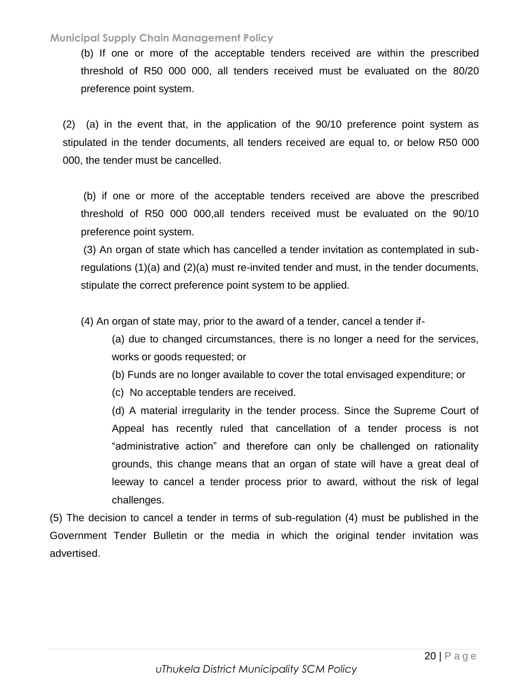(b) If one or more of the acceptable tenders received are within the prescribed threshold of R50 000 000, all tenders received must be evaluated on the 80/20 preference point system.

(2) (a) in the event that, in the application of the 90/10 preference point system as stipulated in the tender documents, all tenders received are equal to, or below R50 000 000, the tender must be cancelled.

(b) if one or more of the acceptable tenders received are above the prescribed threshold of R50 000 000,all tenders received must be evaluated on the 90/10 preference point system.

(3) An organ of state which has cancelled a tender invitation as contemplated in subregulations (1)(a) and (2)(a) must re-invited tender and must, in the tender documents, stipulate the correct preference point system to be applied.

(4) An organ of state may, prior to the award of a tender, cancel a tender if-

(a) due to changed circumstances, there is no longer a need for the services, works or goods requested; or

(b) Funds are no longer available to cover the total envisaged expenditure; or

(c) No acceptable tenders are received.

(d) A material irregularity in the tender process. Since the Supreme Court of Appeal has recently ruled that cancellation of a tender process is not "administrative action" and therefore can only be challenged on rationality grounds, this change means that an organ of state will have a great deal of leeway to cancel a tender process prior to award, without the risk of legal challenges.

(5) The decision to cancel a tender in terms of sub-regulation (4) must be published in the Government Tender Bulletin or the media in which the original tender invitation was advertised.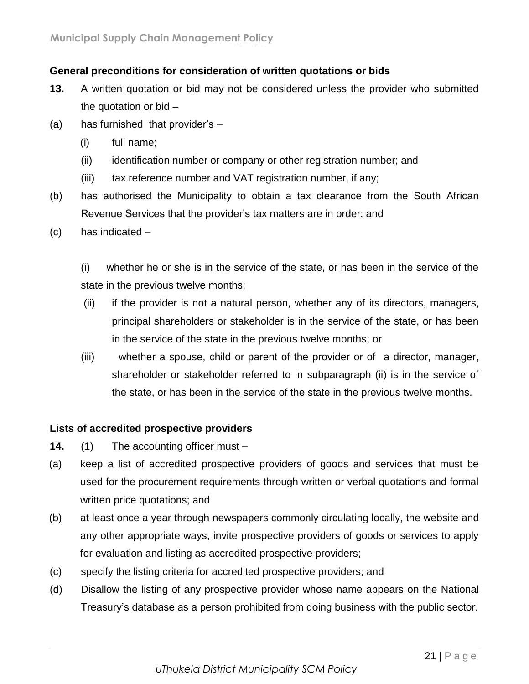## **General preconditions for consideration of written quotations or bids**

**Page 21 of 37**

- **13.** A written quotation or bid may not be considered unless the provider who submitted the quotation or bid –
- (a) has furnished that provider's
	- (i) full name;
	- (ii) identification number or company or other registration number; and
	- (iii) tax reference number and VAT registration number, if any;
- (b) has authorised the Municipality to obtain a tax clearance from the South African Revenue Services that the provider's tax matters are in order; and
- (c) has indicated –

(i) whether he or she is in the service of the state, or has been in the service of the state in the previous twelve months;

- (ii) if the provider is not a natural person, whether any of its directors, managers, principal shareholders or stakeholder is in the service of the state, or has been in the service of the state in the previous twelve months; or
- (iii) whether a spouse, child or parent of the provider or of a director, manager, shareholder or stakeholder referred to in subparagraph (ii) is in the service of the state, or has been in the service of the state in the previous twelve months.

# **Lists of accredited prospective providers**

- **14.** (1) The accounting officer must –
- (a) keep a list of accredited prospective providers of goods and services that must be used for the procurement requirements through written or verbal quotations and formal written price quotations; and
- (b) at least once a year through newspapers commonly circulating locally, the website and any other appropriate ways, invite prospective providers of goods or services to apply for evaluation and listing as accredited prospective providers;
- (c) specify the listing criteria for accredited prospective providers; and
- (d) Disallow the listing of any prospective provider whose name appears on the National Treasury's database as a person prohibited from doing business with the public sector.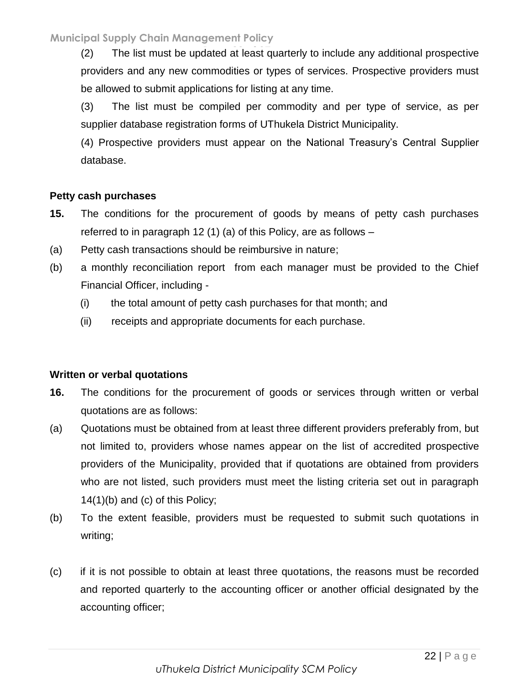(2) The list must be updated at least quarterly to include any additional prospective providers and any new commodities or types of services. Prospective providers must be allowed to submit applications for listing at any time.

(3) The list must be compiled per commodity and per type of service, as per supplier database registration forms of UThukela District Municipality.

(4) Prospective providers must appear on the National Treasury's Central Supplier database.

# **Petty cash purchases**

- **15.** The conditions for the procurement of goods by means of petty cash purchases referred to in paragraph 12 (1) (a) of this Policy, are as follows –
- (a) Petty cash transactions should be reimbursive in nature;
- (b) a monthly reconciliation report from each manager must be provided to the Chief Financial Officer, including -
	- (i) the total amount of petty cash purchases for that month; and
	- (ii) receipts and appropriate documents for each purchase.

# **Written or verbal quotations**

- **16.** The conditions for the procurement of goods or services through written or verbal quotations are as follows:
- (a) Quotations must be obtained from at least three different providers preferably from, but not limited to, providers whose names appear on the list of accredited prospective providers of the Municipality, provided that if quotations are obtained from providers who are not listed, such providers must meet the listing criteria set out in paragraph 14(1)(b) and (c) of this Policy;
- (b) To the extent feasible, providers must be requested to submit such quotations in writing;
- (c) if it is not possible to obtain at least three quotations, the reasons must be recorded and reported quarterly to the accounting officer or another official designated by the accounting officer;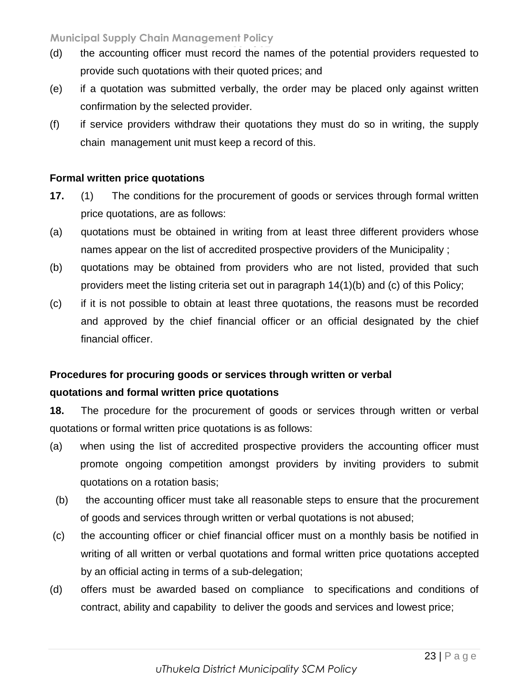- (d) the accounting officer must record the names of the potential providers requested to **Page 23 of 37** provide such quotations with their quoted prices; and
- (e) if a quotation was submitted verbally, the order may be placed only against written confirmation by the selected provider.
- (f) if service providers withdraw their quotations they must do so in writing, the supply chain management unit must keep a record of this.

### **Formal written price quotations**

- **17.** (1) The conditions for the procurement of goods or services through formal written price quotations, are as follows:
- (a) quotations must be obtained in writing from at least three different providers whose names appear on the list of accredited prospective providers of the Municipality ;
- (b) quotations may be obtained from providers who are not listed, provided that such providers meet the listing criteria set out in paragraph 14(1)(b) and (c) of this Policy;
- (c) if it is not possible to obtain at least three quotations, the reasons must be recorded and approved by the chief financial officer or an official designated by the chief financial officer.

# **Procedures for procuring goods or services through written or verbal**

#### **quotations and formal written price quotations**

**18.** The procedure for the procurement of goods or services through written or verbal quotations or formal written price quotations is as follows:

- (a) when using the list of accredited prospective providers the accounting officer must promote ongoing competition amongst providers by inviting providers to submit quotations on a rotation basis;
- (b) the accounting officer must take all reasonable steps to ensure that the procurement of goods and services through written or verbal quotations is not abused;
- (c) the accounting officer or chief financial officer must on a monthly basis be notified in writing of all written or verbal quotations and formal written price quotations accepted by an official acting in terms of a sub-delegation;
- (d) offers must be awarded based on compliance to specifications and conditions of contract, ability and capability to deliver the goods and services and lowest price;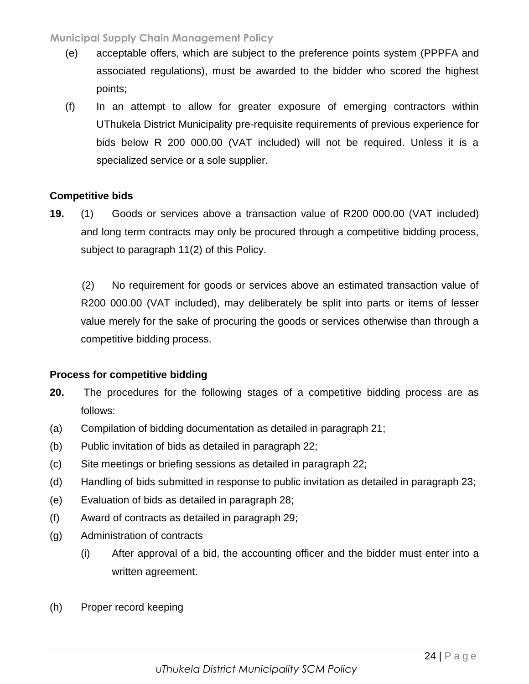- (e) acceptable offers, which are subject to the preference points system (PPPFA and associated regulations), must be awarded to the bidder who scored the highest points;
- (f) In an attempt to allow for greater exposure of emerging contractors within UThukela District Municipality pre-requisite requirements of previous experience for bids below R 200 000.00 (VAT included) will not be required. Unless it is a specialized service or a sole supplier.

### **Competitive bids**

**19.** (1) Goods or services above a transaction value of R200 000.00 (VAT included) and long term contracts may only be procured through a competitive bidding process, subject to paragraph 11(2) of this Policy.

(2) No requirement for goods or services above an estimated transaction value of R200 000.00 (VAT included), may deliberately be split into parts or items of lesser value merely for the sake of procuring the goods or services otherwise than through a competitive bidding process.

#### **Process for competitive bidding**

- **20.** The procedures for the following stages of a competitive bidding process are as follows:
- (a) Compilation of bidding documentation as detailed in paragraph 21;
- (b) Public invitation of bids as detailed in paragraph 22;
- (c) Site meetings or briefing sessions as detailed in paragraph 22;
- (d) Handling of bids submitted in response to public invitation as detailed in paragraph 23;
- (e) Evaluation of bids as detailed in paragraph 28;
- (f) Award of contracts as detailed in paragraph 29;
- (g) Administration of contracts
	- (i) After approval of a bid, the accounting officer and the bidder must enter into a written agreement.
- (h) Proper record keeping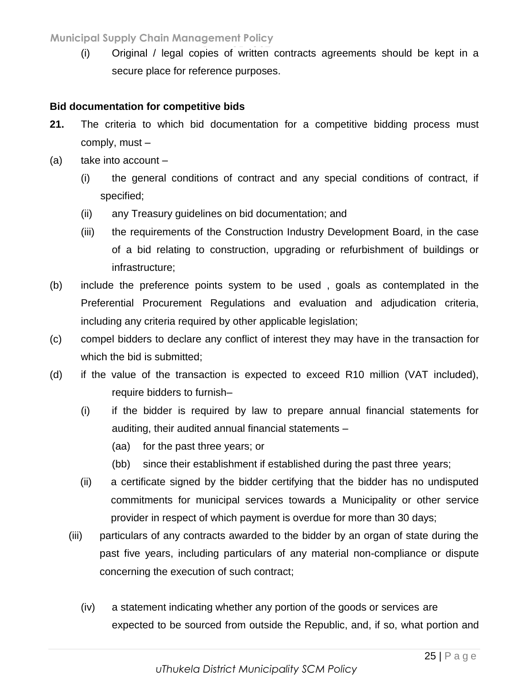(i) Original / legal copies of written contracts agreements should be kept in a **Page 25 of 37** secure place for reference purposes.

# **Bid documentation for competitive bids**

- **21.** The criteria to which bid documentation for a competitive bidding process must comply, must –
- (a) take into account  $-$ 
	- (i) the general conditions of contract and any special conditions of contract, if specified;
	- (ii) any Treasury guidelines on bid documentation; and
	- (iii) the requirements of the Construction Industry Development Board, in the case of a bid relating to construction, upgrading or refurbishment of buildings or infrastructure;
- (b) include the preference points system to be used , goals as contemplated in the Preferential Procurement Regulations and evaluation and adjudication criteria, including any criteria required by other applicable legislation;
- (c) compel bidders to declare any conflict of interest they may have in the transaction for which the bid is submitted;
- (d) if the value of the transaction is expected to exceed R10 million (VAT included), require bidders to furnish–
	- (i) if the bidder is required by law to prepare annual financial statements for auditing, their audited annual financial statements –
		- (aa) for the past three years; or
		- (bb) since their establishment if established during the past three years;
	- (ii) a certificate signed by the bidder certifying that the bidder has no undisputed commitments for municipal services towards a Municipality or other service provider in respect of which payment is overdue for more than 30 days;
	- (iii) particulars of any contracts awarded to the bidder by an organ of state during the past five years, including particulars of any material non-compliance or dispute concerning the execution of such contract;
		- (iv) a statement indicating whether any portion of the goods or services are expected to be sourced from outside the Republic, and, if so, what portion and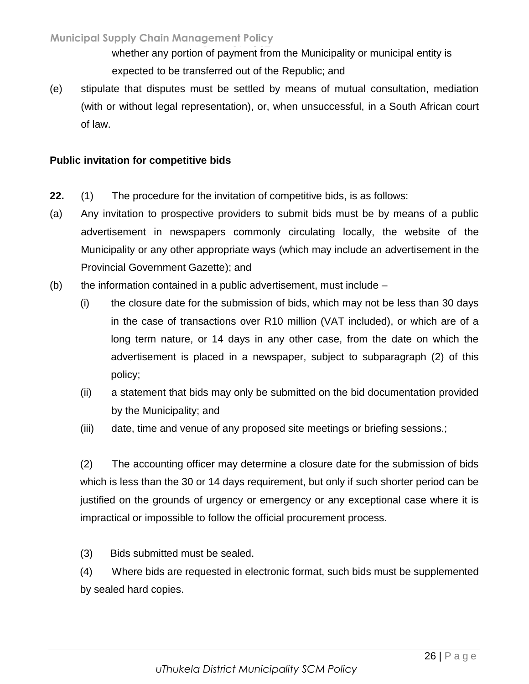whether any portion of payment from the Municipality or municipal entity is expected to be transferred out of the Republic; and

(e) stipulate that disputes must be settled by means of mutual consultation, mediation (with or without legal representation), or, when unsuccessful, in a South African court of law.

# **Public invitation for competitive bids**

- **22.** (1) The procedure for the invitation of competitive bids, is as follows:
- (a) Any invitation to prospective providers to submit bids must be by means of a public advertisement in newspapers commonly circulating locally, the website of the Municipality or any other appropriate ways (which may include an advertisement in the Provincial Government Gazette); and
- (b) the information contained in a public advertisement, must include  $-$ 
	- (i) the closure date for the submission of bids, which may not be less than 30 days in the case of transactions over R10 million (VAT included), or which are of a long term nature, or 14 days in any other case, from the date on which the advertisement is placed in a newspaper, subject to subparagraph (2) of this policy;
	- (ii) a statement that bids may only be submitted on the bid documentation provided by the Municipality; and
	- (iii) date, time and venue of any proposed site meetings or briefing sessions.;

(2) The accounting officer may determine a closure date for the submission of bids which is less than the 30 or 14 days requirement, but only if such shorter period can be justified on the grounds of urgency or emergency or any exceptional case where it is impractical or impossible to follow the official procurement process.

(3) Bids submitted must be sealed.

(4) Where bids are requested in electronic format, such bids must be supplemented by sealed hard copies.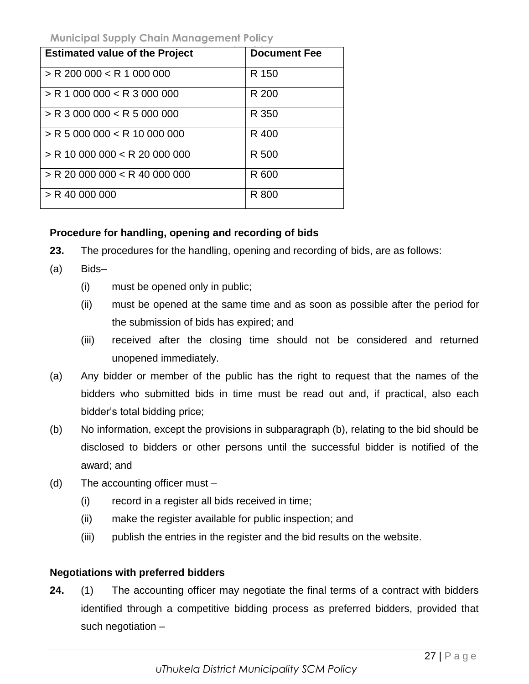| <b>Estimated value of the Project</b> | <b>Document Fee</b> |
|---------------------------------------|---------------------|
| $>$ R 200 000 $<$ R 1 000 000         | R 150               |
| $>$ R 1 000 000 $<$ R 3 000 000       | R 200               |
| $>$ R 3 000 000 < R 5 000 000         | R 350               |
| $>$ R 5 000 000 $<$ R 10 000 000      | R 400               |
| $>$ R 10 000 000 $<$ R 20 000 000     | R 500               |
| $>$ R 20 000 000 $<$ R 40 000 000     | R 600               |
| $>$ R 40 000 000                      | R 800               |

# **Procedure for handling, opening and recording of bids**

**23.** The procedures for the handling, opening and recording of bids, are as follows:

- (a) Bids–
	- (i) must be opened only in public;
	- (ii) must be opened at the same time and as soon as possible after the period for the submission of bids has expired; and
	- (iii) received after the closing time should not be considered and returned unopened immediately.
- (a) Any bidder or member of the public has the right to request that the names of the bidders who submitted bids in time must be read out and, if practical, also each bidder's total bidding price;
- (b) No information, except the provisions in subparagraph (b), relating to the bid should be disclosed to bidders or other persons until the successful bidder is notified of the award; and
- (d) The accounting officer must
	- (i) record in a register all bids received in time;
	- (ii) make the register available for public inspection; and
	- (iii) publish the entries in the register and the bid results on the website.

# **Negotiations with preferred bidders**

**24.** (1) The accounting officer may negotiate the final terms of a contract with bidders identified through a competitive bidding process as preferred bidders, provided that such negotiation –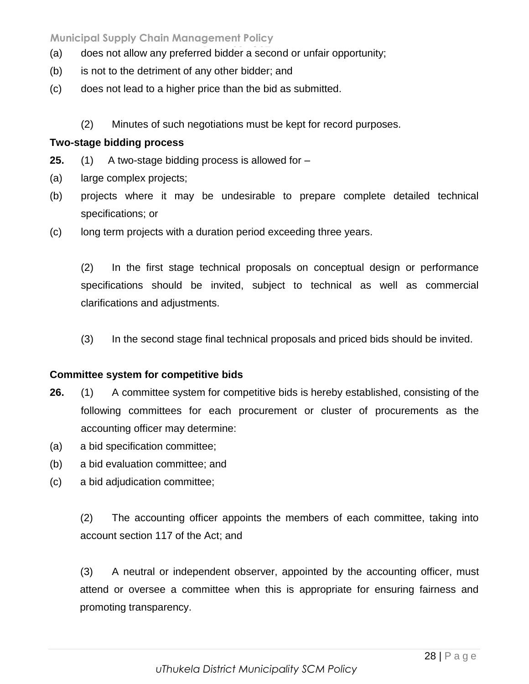- (a) does not allow any preferred bidder a second or unfair opportunity;
- (b) is not to the detriment of any other bidder; and
- (c) does not lead to a higher price than the bid as submitted.
	- (2) Minutes of such negotiations must be kept for record purposes.

#### **Two-stage bidding process**

- **25.** (1) A two-stage bidding process is allowed for –
- (a) large complex projects;
- (b) projects where it may be undesirable to prepare complete detailed technical specifications; or
- (c) long term projects with a duration period exceeding three years.

(2) In the first stage technical proposals on conceptual design or performance specifications should be invited, subject to technical as well as commercial clarifications and adjustments.

(3) In the second stage final technical proposals and priced bids should be invited.

#### **Committee system for competitive bids**

- **26.** (1) A committee system for competitive bids is hereby established, consisting of the following committees for each procurement or cluster of procurements as the accounting officer may determine:
- (a) a bid specification committee;
- (b) a bid evaluation committee; and
- (c) a bid adjudication committee;

(2) The accounting officer appoints the members of each committee, taking into account section 117 of the Act; and

(3) A neutral or independent observer, appointed by the accounting officer, must attend or oversee a committee when this is appropriate for ensuring fairness and promoting transparency.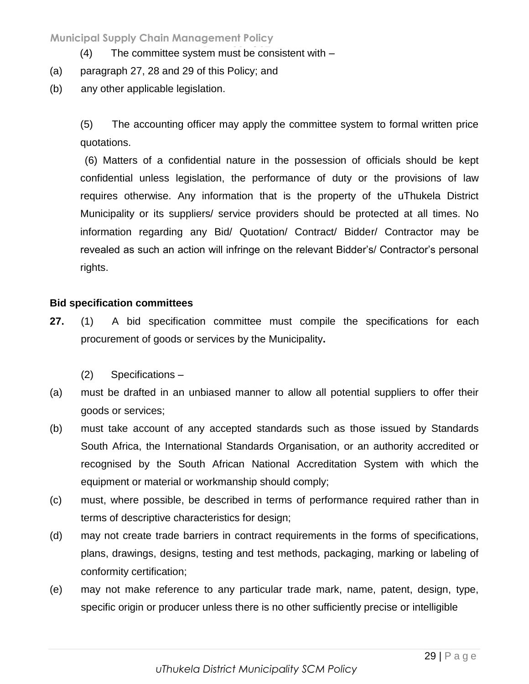- (4) The committee system must be consistent with  $-$
- (a) paragraph 27, 28 and 29 of this Policy; and
- (b) any other applicable legislation.

(5) The accounting officer may apply the committee system to formal written price quotations.

(6) Matters of a confidential nature in the possession of officials should be kept confidential unless legislation, the performance of duty or the provisions of law requires otherwise. Any information that is the property of the uThukela District Municipality or its suppliers/ service providers should be protected at all times. No information regarding any Bid/ Quotation/ Contract/ Bidder/ Contractor may be revealed as such an action will infringe on the relevant Bidder's/ Contractor's personal rights.

#### **Bid specification committees**

**27.** (1) A bid specification committee must compile the specifications for each procurement of goods or services by the Municipality**.**

(2) Specifications –

- (a) must be drafted in an unbiased manner to allow all potential suppliers to offer their goods or services;
- (b) must take account of any accepted standards such as those issued by Standards South Africa, the International Standards Organisation, or an authority accredited or recognised by the South African National Accreditation System with which the equipment or material or workmanship should comply;
- (c) must, where possible, be described in terms of performance required rather than in terms of descriptive characteristics for design;
- (d) may not create trade barriers in contract requirements in the forms of specifications, plans, drawings, designs, testing and test methods, packaging, marking or labeling of conformity certification;
- (e) may not make reference to any particular trade mark, name, patent, design, type, specific origin or producer unless there is no other sufficiently precise or intelligible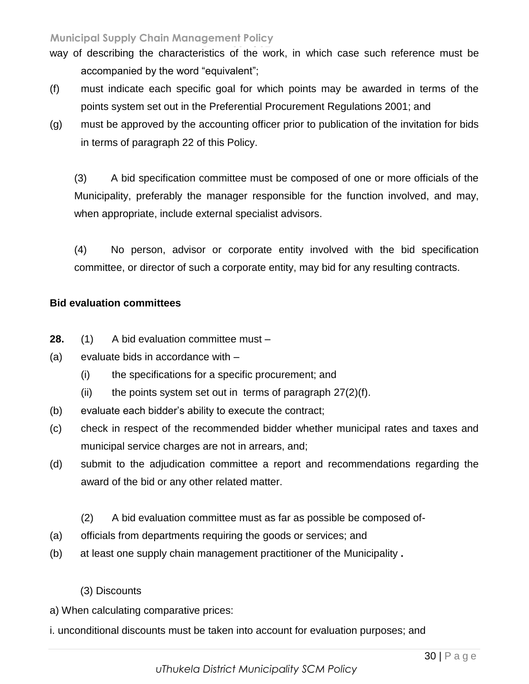- way of describing the characteristics of the work, in which case such reference must be accompanied by the word "equivalent";
- (f) must indicate each specific goal for which points may be awarded in terms of the points system set out in the Preferential Procurement Regulations 2001; and
- (g) must be approved by the accounting officer prior to publication of the invitation for bids in terms of paragraph 22 of this Policy.

(3) A bid specification committee must be composed of one or more officials of the Municipality, preferably the manager responsible for the function involved, and may, when appropriate, include external specialist advisors.

(4) No person, advisor or corporate entity involved with the bid specification committee, or director of such a corporate entity, may bid for any resulting contracts.

#### **Bid evaluation committees**

- **28.** (1) A bid evaluation committee must –
- (a) evaluate bids in accordance with
	- (i) the specifications for a specific procurement; and
	- (ii) the points system set out in terms of paragraph  $27(2)(f)$ .
- (b) evaluate each bidder's ability to execute the contract;
- (c) check in respect of the recommended bidder whether municipal rates and taxes and municipal service charges are not in arrears, and;
- (d) submit to the adjudication committee a report and recommendations regarding the award of the bid or any other related matter.
	- (2) A bid evaluation committee must as far as possible be composed of-
- (a) officials from departments requiring the goods or services; and
- (b) at least one supply chain management practitioner of the Municipality **.**
	- (3) Discounts
- a) When calculating comparative prices:
- i. unconditional discounts must be taken into account for evaluation purposes; and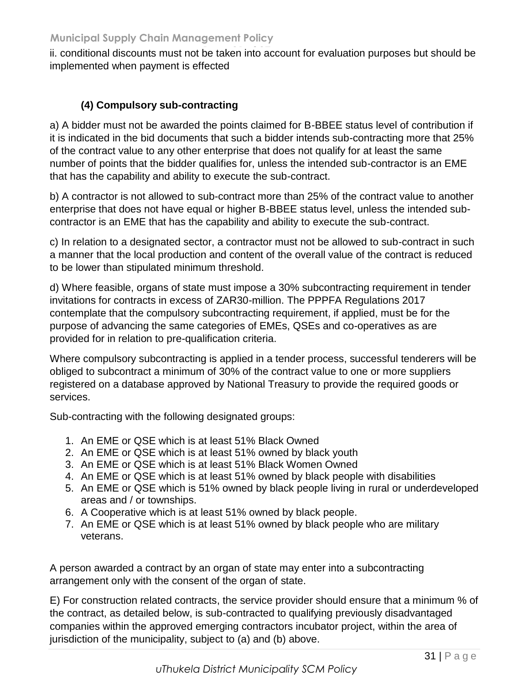ii. conditional discounts must not be taken into account for evaluation purposes but should be implemented when payment is effected

# **(4) Compulsory sub-contracting**

a) A bidder must not be awarded the points claimed for B-BBEE status level of contribution if it is indicated in the bid documents that such a bidder intends sub-contracting more that 25% of the contract value to any other enterprise that does not qualify for at least the same number of points that the bidder qualifies for, unless the intended sub-contractor is an EME that has the capability and ability to execute the sub-contract.

b) A contractor is not allowed to sub-contract more than 25% of the contract value to another enterprise that does not have equal or higher B-BBEE status level, unless the intended subcontractor is an EME that has the capability and ability to execute the sub-contract.

c) In relation to a designated sector, a contractor must not be allowed to sub-contract in such a manner that the local production and content of the overall value of the contract is reduced to be lower than stipulated minimum threshold.

d) Where feasible, organs of state must impose a 30% subcontracting requirement in tender invitations for contracts in excess of ZAR30-million. The PPPFA Regulations 2017 contemplate that the compulsory subcontracting requirement, if applied, must be for the purpose of advancing the same categories of EMEs, QSEs and co-operatives as are provided for in relation to pre-qualification criteria.

Where compulsory subcontracting is applied in a tender process, successful tenderers will be obliged to subcontract a minimum of 30% of the contract value to one or more suppliers registered on a database approved by National Treasury to provide the required goods or services.

Sub-contracting with the following designated groups:

- 1. An EME or QSE which is at least 51% Black Owned
- 2. An EME or QSE which is at least 51% owned by black youth
- 3. An EME or QSE which is at least 51% Black Women Owned
- 4. An EME or QSE which is at least 51% owned by black people with disabilities
- 5. An EME or QSE which is 51% owned by black people living in rural or underdeveloped areas and / or townships.
- 6. A Cooperative which is at least 51% owned by black people.
- 7. An EME or QSE which is at least 51% owned by black people who are military veterans.

A person awarded a contract by an organ of state may enter into a subcontracting arrangement only with the consent of the organ of state.

E) For construction related contracts, the service provider should ensure that a minimum % of the contract, as detailed below, is sub-contracted to qualifying previously disadvantaged companies within the approved emerging contractors incubator project, within the area of jurisdiction of the municipality, subject to (a) and (b) above.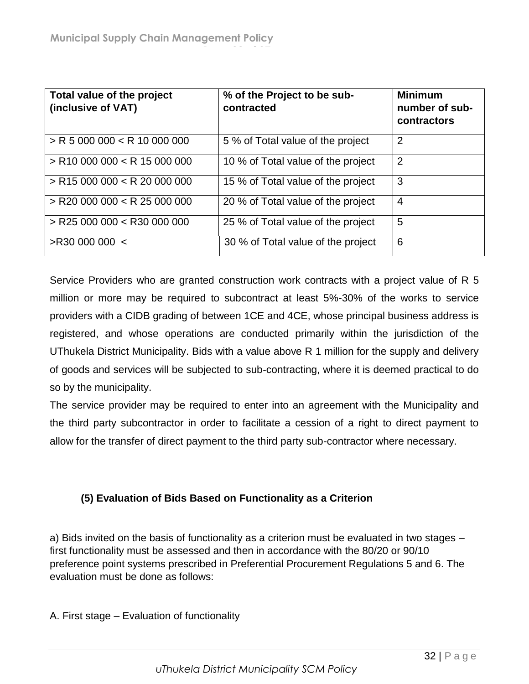| Total value of the project<br>(inclusive of VAT) | % of the Project to be sub-<br>contracted | <b>Minimum</b><br>number of sub-<br>contractors |
|--------------------------------------------------|-------------------------------------------|-------------------------------------------------|
| $>$ R 5 000 000 $<$ R 10 000 000                 | 5 % of Total value of the project         | $\overline{2}$                                  |
| $>$ R10 000 000 < R 15 000 000                   | 10 % of Total value of the project        | $\overline{2}$                                  |
| $>$ R15 000 000 < R 20 000 000                   | 15 % of Total value of the project        | 3                                               |
| $>$ R20 000 000 < R 25 000 000                   | 20 % of Total value of the project        | $\overline{4}$                                  |
| $>$ R25 000 000 $<$ R30 000 000                  | 25 % of Total value of the project        | 5                                               |
| $>$ R30 000 000 $<$                              | 30 % of Total value of the project        | 6                                               |

**Page 32 of 37**

Service Providers who are granted construction work contracts with a project value of R 5 million or more may be required to subcontract at least 5%-30% of the works to service providers with a CIDB grading of between 1CE and 4CE, whose principal business address is registered, and whose operations are conducted primarily within the jurisdiction of the UThukela District Municipality. Bids with a value above R 1 million for the supply and delivery of goods and services will be subjected to sub-contracting, where it is deemed practical to do so by the municipality.

The service provider may be required to enter into an agreement with the Municipality and the third party subcontractor in order to facilitate a cession of a right to direct payment to allow for the transfer of direct payment to the third party sub-contractor where necessary.

# **(5) Evaluation of Bids Based on Functionality as a Criterion**

a) Bids invited on the basis of functionality as a criterion must be evaluated in two stages – first functionality must be assessed and then in accordance with the 80/20 or 90/10 preference point systems prescribed in Preferential Procurement Regulations 5 and 6. The evaluation must be done as follows:

A. First stage – Evaluation of functionality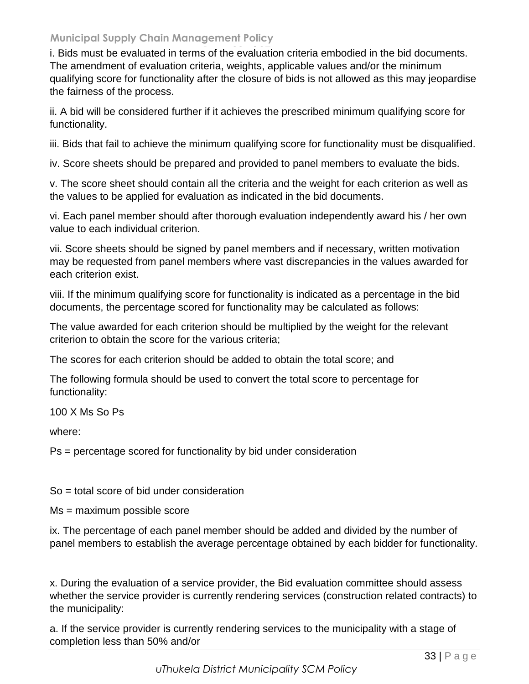i. Bids must be evaluated in terms of the evaluation criteria embodied in the bid documents. The amendment of evaluation criteria, weights, applicable values and/or the minimum qualifying score for functionality after the closure of bids is not allowed as this may jeopardise the fairness of the process.

ii. A bid will be considered further if it achieves the prescribed minimum qualifying score for functionality.

iii. Bids that fail to achieve the minimum qualifying score for functionality must be disqualified.

iv. Score sheets should be prepared and provided to panel members to evaluate the bids.

v. The score sheet should contain all the criteria and the weight for each criterion as well as the values to be applied for evaluation as indicated in the bid documents.

vi. Each panel member should after thorough evaluation independently award his / her own value to each individual criterion.

vii. Score sheets should be signed by panel members and if necessary, written motivation may be requested from panel members where vast discrepancies in the values awarded for each criterion exist.

viii. If the minimum qualifying score for functionality is indicated as a percentage in the bid documents, the percentage scored for functionality may be calculated as follows:

The value awarded for each criterion should be multiplied by the weight for the relevant criterion to obtain the score for the various criteria;

The scores for each criterion should be added to obtain the total score; and

The following formula should be used to convert the total score to percentage for functionality:

100 X Ms So Ps

where:

Ps = percentage scored for functionality by bid under consideration

 $\text{So} = \text{total score of bid under consideration}$ 

Ms = maximum possible score

ix. The percentage of each panel member should be added and divided by the number of panel members to establish the average percentage obtained by each bidder for functionality.

x. During the evaluation of a service provider, the Bid evaluation committee should assess whether the service provider is currently rendering services (construction related contracts) to the municipality:

a. If the service provider is currently rendering services to the municipality with a stage of completion less than 50% and/or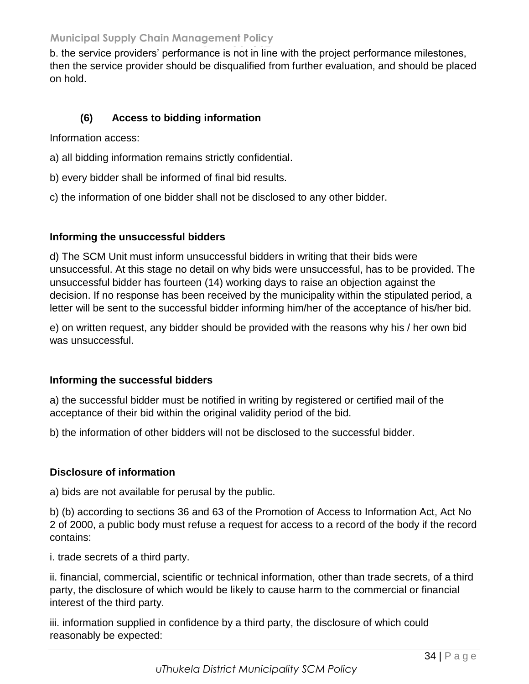b. the service providers' performance is not in line with the project performance milestones, then the service provider should be disqualified from further evaluation, and should be placed on hold.

# **(6) Access to bidding information**

Information access:

- a) all bidding information remains strictly confidential.
- b) every bidder shall be informed of final bid results.
- c) the information of one bidder shall not be disclosed to any other bidder.

### **Informing the unsuccessful bidders**

d) The SCM Unit must inform unsuccessful bidders in writing that their bids were unsuccessful. At this stage no detail on why bids were unsuccessful, has to be provided. The unsuccessful bidder has fourteen (14) working days to raise an objection against the decision. If no response has been received by the municipality within the stipulated period, a letter will be sent to the successful bidder informing him/her of the acceptance of his/her bid.

e) on written request, any bidder should be provided with the reasons why his / her own bid was unsuccessful.

# **Informing the successful bidders**

a) the successful bidder must be notified in writing by registered or certified mail of the acceptance of their bid within the original validity period of the bid.

b) the information of other bidders will not be disclosed to the successful bidder.

# **Disclosure of information**

a) bids are not available for perusal by the public.

b) (b) according to sections 36 and 63 of the Promotion of Access to Information Act, Act No 2 of 2000, a public body must refuse a request for access to a record of the body if the record contains:

i. trade secrets of a third party.

ii. financial, commercial, scientific or technical information, other than trade secrets, of a third party, the disclosure of which would be likely to cause harm to the commercial or financial interest of the third party.

iii. information supplied in confidence by a third party, the disclosure of which could reasonably be expected: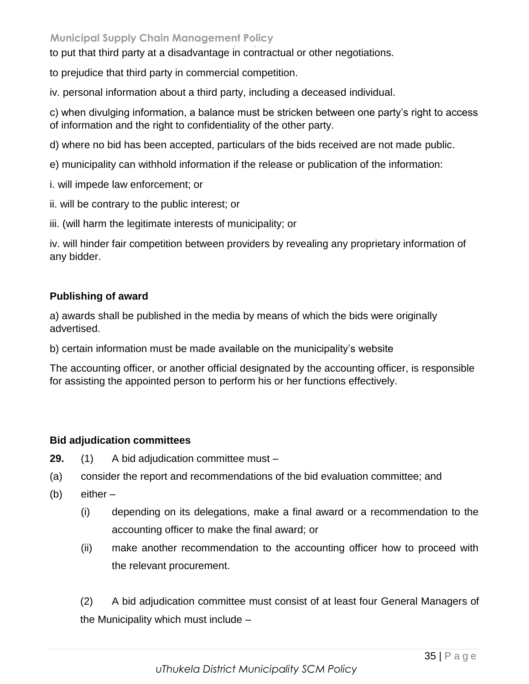to put that third party at a disadvantage in contractual or other negotiations.

to prejudice that third party in commercial competition.

iv. personal information about a third party, including a deceased individual.

c) when divulging information, a balance must be stricken between one party's right to access of information and the right to confidentiality of the other party.

d) where no bid has been accepted, particulars of the bids received are not made public.

e) municipality can withhold information if the release or publication of the information:

i. will impede law enforcement; or

ii. will be contrary to the public interest; or

iii. (will harm the legitimate interests of municipality; or

iv. will hinder fair competition between providers by revealing any proprietary information of any bidder.

### **Publishing of award**

a) awards shall be published in the media by means of which the bids were originally advertised.

b) certain information must be made available on the municipality's website

The accounting officer, or another official designated by the accounting officer, is responsible for assisting the appointed person to perform his or her functions effectively.

# **Bid adjudication committees**

- **29.** (1) A bid adjudication committee must –
- (a) consider the report and recommendations of the bid evaluation committee; and
- (b) either
	- (i) depending on its delegations, make a final award or a recommendation to the accounting officer to make the final award; or
	- (ii) make another recommendation to the accounting officer how to proceed with the relevant procurement.

(2) A bid adjudication committee must consist of at least four General Managers of the Municipality which must include –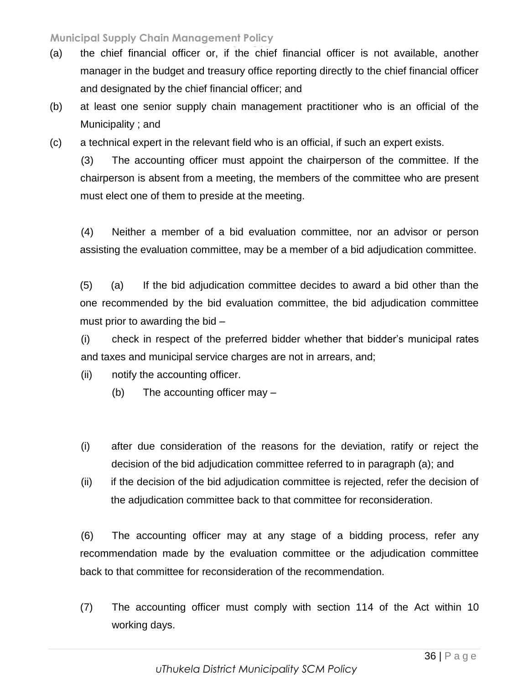- (a) the chief financial officer or, if the chief financial officer is not available, another manager in the budget and treasury office reporting directly to the chief financial officer and designated by the chief financial officer; and
- (b) at least one senior supply chain management practitioner who is an official of the Municipality ; and
- (c) a technical expert in the relevant field who is an official, if such an expert exists.

(3) The accounting officer must appoint the chairperson of the committee. If the chairperson is absent from a meeting, the members of the committee who are present must elect one of them to preside at the meeting.

(4) Neither a member of a bid evaluation committee, nor an advisor or person assisting the evaluation committee, may be a member of a bid adjudication committee.

(5) (a) If the bid adjudication committee decides to award a bid other than the one recommended by the bid evaluation committee, the bid adjudication committee must prior to awarding the bid –

(i) check in respect of the preferred bidder whether that bidder's municipal rates and taxes and municipal service charges are not in arrears, and;

- (ii) notify the accounting officer.
	- (b) The accounting officer may –
- (i) after due consideration of the reasons for the deviation, ratify or reject the decision of the bid adjudication committee referred to in paragraph (a); and
- (ii) if the decision of the bid adjudication committee is rejected, refer the decision of the adjudication committee back to that committee for reconsideration.

(6) The accounting officer may at any stage of a bidding process, refer any recommendation made by the evaluation committee or the adjudication committee back to that committee for reconsideration of the recommendation.

(7) The accounting officer must comply with section 114 of the Act within 10 working days.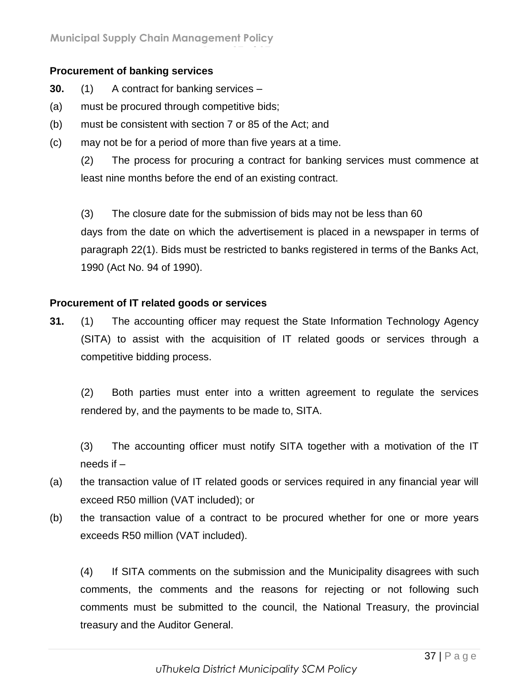# **Procurement of banking services**

- **30.** (1) A contract for banking services –
- (a) must be procured through competitive bids;
- (b) must be consistent with section 7 or 85 of the Act; and
- (c) may not be for a period of more than five years at a time.

**Page 37 of 37**

(2) The process for procuring a contract for banking services must commence at least nine months before the end of an existing contract.

(3) The closure date for the submission of bids may not be less than 60 days from the date on which the advertisement is placed in a newspaper in terms of paragraph 22(1). Bids must be restricted to banks registered in terms of the Banks Act, 1990 (Act No. 94 of 1990).

# **Procurement of IT related goods or services**

**31.** (1) The accounting officer may request the State Information Technology Agency (SITA) to assist with the acquisition of IT related goods or services through a competitive bidding process.

(2) Both parties must enter into a written agreement to regulate the services rendered by, and the payments to be made to, SITA.

(3) The accounting officer must notify SITA together with a motivation of the IT needs if –

- (a) the transaction value of IT related goods or services required in any financial year will exceed R50 million (VAT included); or
- (b) the transaction value of a contract to be procured whether for one or more years exceeds R50 million (VAT included).

(4) If SITA comments on the submission and the Municipality disagrees with such comments, the comments and the reasons for rejecting or not following such comments must be submitted to the council, the National Treasury, the provincial treasury and the Auditor General.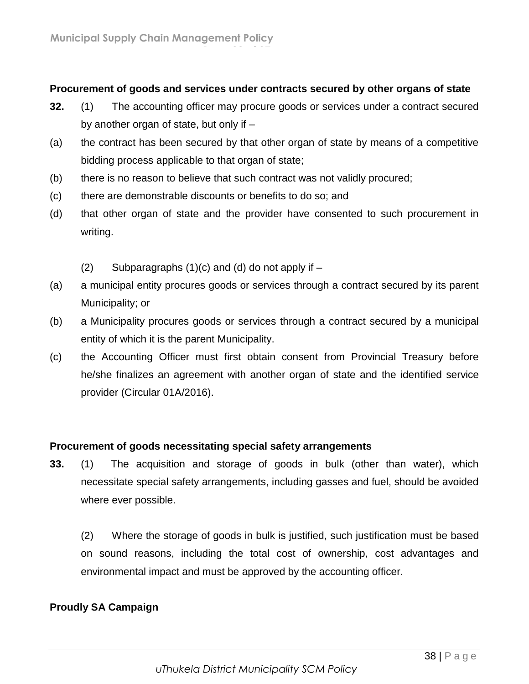## **Procurement of goods and services under contracts secured by other organs of state**

- **32.** (1) The accounting officer may procure goods or services under a contract secured by another organ of state, but only if –
- (a) the contract has been secured by that other organ of state by means of a competitive bidding process applicable to that organ of state;
- (b) there is no reason to believe that such contract was not validly procured;

**Page 38 of 37**

- (c) there are demonstrable discounts or benefits to do so; and
- (d) that other organ of state and the provider have consented to such procurement in writing.
	- (2) Subparagraphs  $(1)(c)$  and  $(d)$  do not apply if  $-$
- (a) a municipal entity procures goods or services through a contract secured by its parent Municipality; or
- (b) a Municipality procures goods or services through a contract secured by a municipal entity of which it is the parent Municipality.
- (c) the Accounting Officer must first obtain consent from Provincial Treasury before he/she finalizes an agreement with another organ of state and the identified service provider (Circular 01A/2016).

# **Procurement of goods necessitating special safety arrangements**

- **33.** (1) The acquisition and storage of goods in bulk (other than water), which necessitate special safety arrangements, including gasses and fuel, should be avoided where ever possible.
	- (2) Where the storage of goods in bulk is justified, such justification must be based on sound reasons, including the total cost of ownership, cost advantages and environmental impact and must be approved by the accounting officer.

# **Proudly SA Campaign**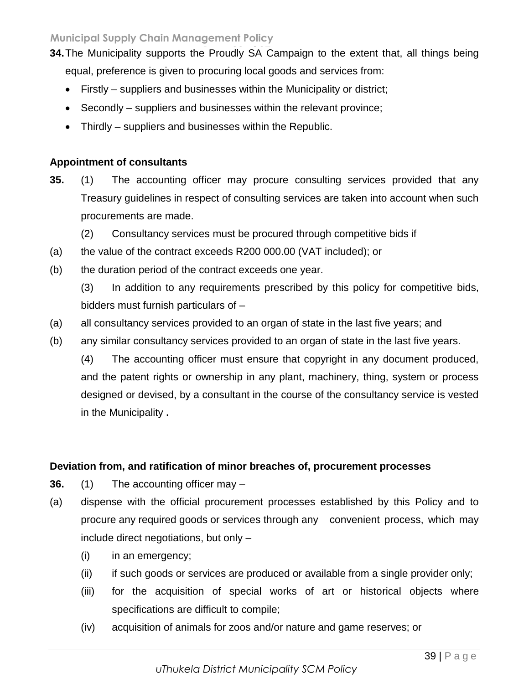**34.** The Municipality supports the Proudly SA Campaign to the extent that, all things being equal, preference is given to procuring local goods and services from:

- Firstly suppliers and businesses within the Municipality or district;
- Secondly suppliers and businesses within the relevant province;
- Thirdly suppliers and businesses within the Republic.

# **Appointment of consultants**

- **35.** (1) The accounting officer may procure consulting services provided that any Treasury guidelines in respect of consulting services are taken into account when such procurements are made.
	- (2) Consultancy services must be procured through competitive bids if
- (a) the value of the contract exceeds R200 000.00 (VAT included); or
- (b) the duration period of the contract exceeds one year.
	- (3) In addition to any requirements prescribed by this policy for competitive bids, bidders must furnish particulars of –
- (a) all consultancy services provided to an organ of state in the last five years; and
- (b) any similar consultancy services provided to an organ of state in the last five years.
	- (4) The accounting officer must ensure that copyright in any document produced, and the patent rights or ownership in any plant, machinery, thing, system or process designed or devised, by a consultant in the course of the consultancy service is vested in the Municipality **.**

# **Deviation from, and ratification of minor breaches of, procurement processes**

- **36.** (1) The accounting officer may –
- (a) dispense with the official procurement processes established by this Policy and to procure any required goods or services through any convenient process, which may include direct negotiations, but only –
	- (i) in an emergency;
	- (ii) if such goods or services are produced or available from a single provider only;
	- (iii) for the acquisition of special works of art or historical objects where specifications are difficult to compile;
	- (iv) acquisition of animals for zoos and/or nature and game reserves; or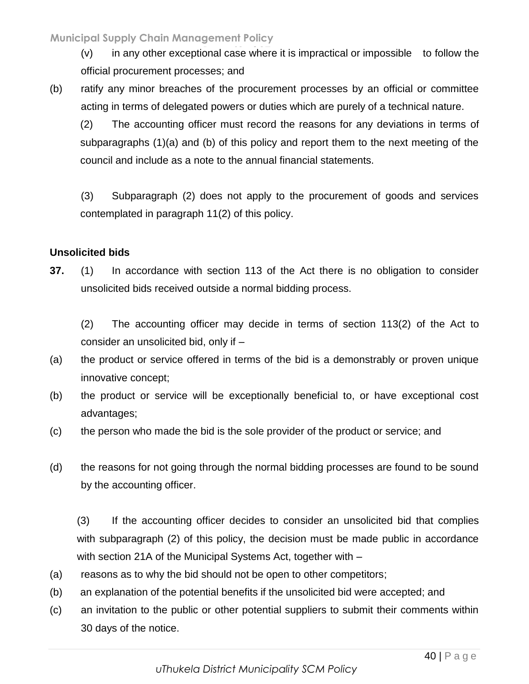(v) in any other exceptional case where it is impractical or impossible **Page 40 of 37** to follow the official procurement processes; and

(b) ratify any minor breaches of the procurement processes by an official or committee acting in terms of delegated powers or duties which are purely of a technical nature.

(2) The accounting officer must record the reasons for any deviations in terms of subparagraphs (1)(a) and (b) of this policy and report them to the next meeting of the council and include as a note to the annual financial statements.

(3) Subparagraph (2) does not apply to the procurement of goods and services contemplated in paragraph 11(2) of this policy.

# **Unsolicited bids**

**37.** (1) In accordance with section 113 of the Act there is no obligation to consider unsolicited bids received outside a normal bidding process.

(2) The accounting officer may decide in terms of section 113(2) of the Act to consider an unsolicited bid, only if –

- (a) the product or service offered in terms of the bid is a demonstrably or proven unique innovative concept;
- (b) the product or service will be exceptionally beneficial to, or have exceptional cost advantages;
- (c) the person who made the bid is the sole provider of the product or service; and
- (d) the reasons for not going through the normal bidding processes are found to be sound by the accounting officer.

(3) If the accounting officer decides to consider an unsolicited bid that complies with subparagraph (2) of this policy, the decision must be made public in accordance with section 21A of the Municipal Systems Act, together with –

- (a) reasons as to why the bid should not be open to other competitors;
- (b) an explanation of the potential benefits if the unsolicited bid were accepted; and
- (c) an invitation to the public or other potential suppliers to submit their comments within 30 days of the notice.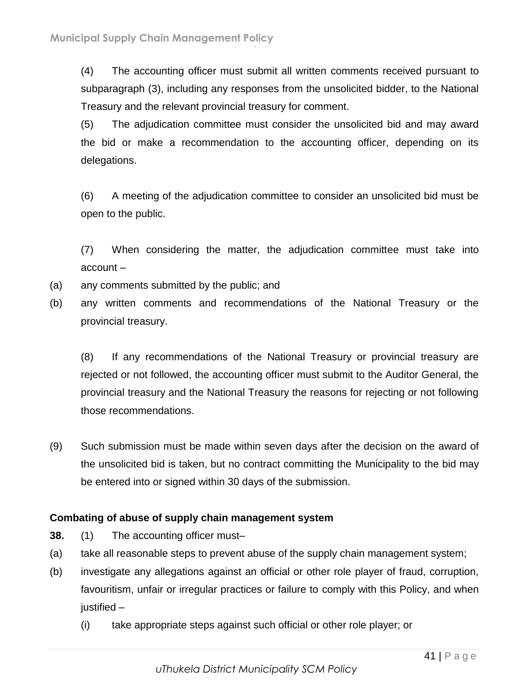(4) The accounting officer must submit all written comments received pursuant to subparagraph (3), including any responses from the unsolicited bidder, to the National Treasury and the relevant provincial treasury for comment.

**Page 41 of 37**

(5) The adjudication committee must consider the unsolicited bid and may award the bid or make a recommendation to the accounting officer, depending on its delegations.

(6) A meeting of the adjudication committee to consider an unsolicited bid must be open to the public.

(7) When considering the matter, the adjudication committee must take into account –

- (a) any comments submitted by the public; and
- (b) any written comments and recommendations of the National Treasury or the provincial treasury.

(8) If any recommendations of the National Treasury or provincial treasury are rejected or not followed, the accounting officer must submit to the Auditor General, the provincial treasury and the National Treasury the reasons for rejecting or not following those recommendations.

(9) Such submission must be made within seven days after the decision on the award of the unsolicited bid is taken, but no contract committing the Municipality to the bid may be entered into or signed within 30 days of the submission.

# **Combating of abuse of supply chain management system**

- **38.** (1) The accounting officer must–
- (a) take all reasonable steps to prevent abuse of the supply chain management system;
- (b) investigate any allegations against an official or other role player of fraud, corruption, favouritism, unfair or irregular practices or failure to comply with this Policy, and when justified –
	- (i) take appropriate steps against such official or other role player; or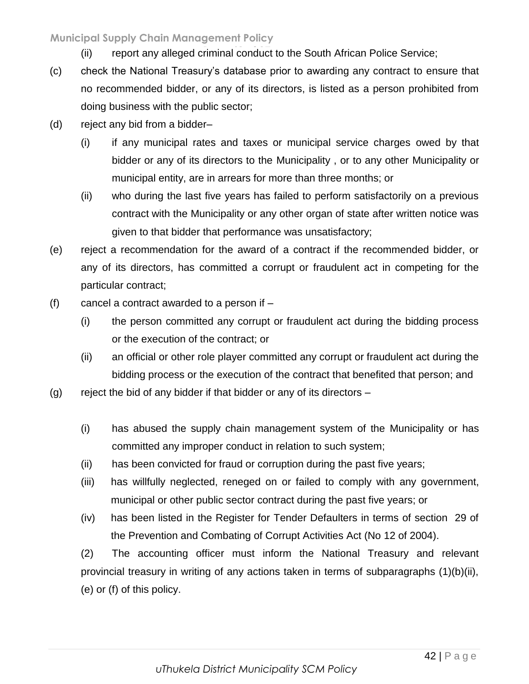- (ii) report any alleged criminal conduct to the South African Police Service;
- (c) check the National Treasury's database prior to awarding any contract to ensure that no recommended bidder, or any of its directors, is listed as a person prohibited from doing business with the public sector;
- (d) reject any bid from a bidder–
	- (i) if any municipal rates and taxes or municipal service charges owed by that bidder or any of its directors to the Municipality , or to any other Municipality or municipal entity, are in arrears for more than three months; or
	- (ii) who during the last five years has failed to perform satisfactorily on a previous contract with the Municipality or any other organ of state after written notice was given to that bidder that performance was unsatisfactory;
- (e) reject a recommendation for the award of a contract if the recommended bidder, or any of its directors, has committed a corrupt or fraudulent act in competing for the particular contract;
- $(f)$  cancel a contract awarded to a person if  $-$ 
	- (i) the person committed any corrupt or fraudulent act during the bidding process or the execution of the contract; or
	- (ii) an official or other role player committed any corrupt or fraudulent act during the bidding process or the execution of the contract that benefited that person; and
- (g) reject the bid of any bidder if that bidder or any of its directors  $-$ 
	- (i) has abused the supply chain management system of the Municipality or has committed any improper conduct in relation to such system;
	- (ii) has been convicted for fraud or corruption during the past five years;
	- (iii) has willfully neglected, reneged on or failed to comply with any government, municipal or other public sector contract during the past five years; or
	- (iv) has been listed in the Register for Tender Defaulters in terms of section 29 of the Prevention and Combating of Corrupt Activities Act (No 12 of 2004).

(2) The accounting officer must inform the National Treasury and relevant provincial treasury in writing of any actions taken in terms of subparagraphs (1)(b)(ii), (e) or (f) of this policy.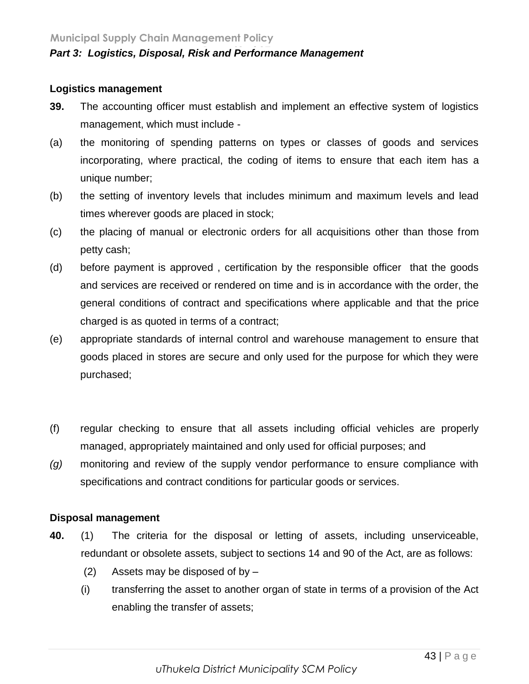#### **Logistics management**

- **39.** The accounting officer must establish and implement an effective system of logistics management, which must include -
- (a) the monitoring of spending patterns on types or classes of goods and services incorporating, where practical, the coding of items to ensure that each item has a unique number;
- (b) the setting of inventory levels that includes minimum and maximum levels and lead times wherever goods are placed in stock;
- (c) the placing of manual or electronic orders for all acquisitions other than those from petty cash;
- (d) before payment is approved , certification by the responsible officer that the goods and services are received or rendered on time and is in accordance with the order, the general conditions of contract and specifications where applicable and that the price charged is as quoted in terms of a contract;
- (e) appropriate standards of internal control and warehouse management to ensure that goods placed in stores are secure and only used for the purpose for which they were purchased;
- (f) regular checking to ensure that all assets including official vehicles are properly managed, appropriately maintained and only used for official purposes; and
- *(g)* monitoring and review of the supply vendor performance to ensure compliance with specifications and contract conditions for particular goods or services.

# **Disposal management**

- **40.** (1) The criteria for the disposal or letting of assets, including unserviceable, redundant or obsolete assets, subject to sections 14 and 90 of the Act, are as follows:
	- (2) Assets may be disposed of by  $-$
	- (i) transferring the asset to another organ of state in terms of a provision of the Act enabling the transfer of assets;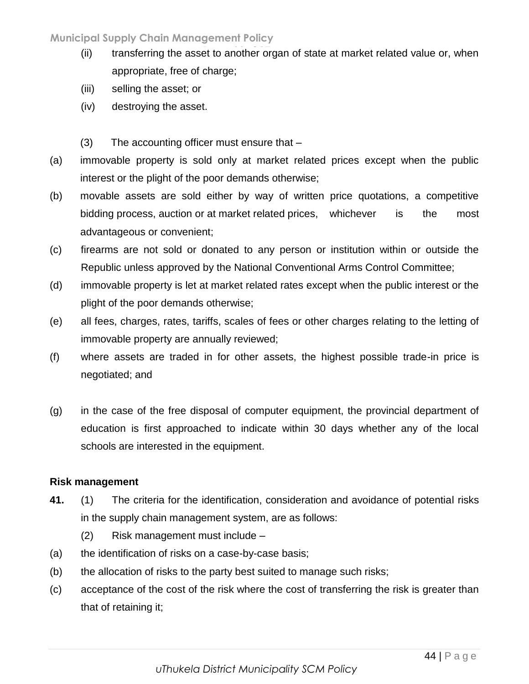- (ii) transferring the asset to another organ of state at market related value or, when appropriate, free of charge;
- (iii) selling the asset; or
- (iv) destroying the asset.
- (3) The accounting officer must ensure that –
- (a) immovable property is sold only at market related prices except when the public interest or the plight of the poor demands otherwise;
- (b) movable assets are sold either by way of written price quotations, a competitive bidding process, auction or at market related prices, whichever is the most advantageous or convenient;
- (c) firearms are not sold or donated to any person or institution within or outside the Republic unless approved by the National Conventional Arms Control Committee;
- (d) immovable property is let at market related rates except when the public interest or the plight of the poor demands otherwise;
- (e) all fees, charges, rates, tariffs, scales of fees or other charges relating to the letting of immovable property are annually reviewed;
- (f) where assets are traded in for other assets, the highest possible trade-in price is negotiated; and
- (g) in the case of the free disposal of computer equipment, the provincial department of education is first approached to indicate within 30 days whether any of the local schools are interested in the equipment.

# **Risk management**

- **41.** (1) The criteria for the identification, consideration and avoidance of potential risks in the supply chain management system, are as follows:
	- (2) Risk management must include –
- (a) the identification of risks on a case-by-case basis;
- (b) the allocation of risks to the party best suited to manage such risks;
- (c) acceptance of the cost of the risk where the cost of transferring the risk is greater than that of retaining it;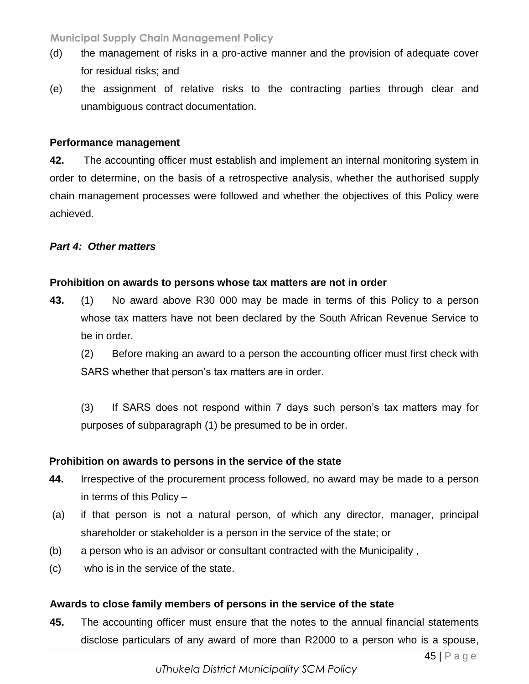- (d) the management of risks in a pro-active manner and the provision of adequate cover for residual risks; and
- (e) the assignment of relative risks to the contracting parties through clear and unambiguous contract documentation.

#### **Performance management**

**42.** The accounting officer must establish and implement an internal monitoring system in order to determine, on the basis of a retrospective analysis, whether the authorised supply chain management processes were followed and whether the objectives of this Policy were achieved.

#### *Part 4: Other matters*

#### **Prohibition on awards to persons whose tax matters are not in order**

**43.** (1) No award above R30 000 may be made in terms of this Policy to a person whose tax matters have not been declared by the South African Revenue Service to be in order.

(2) Before making an award to a person the accounting officer must first check with SARS whether that person's tax matters are in order.

(3) If SARS does not respond within 7 days such person's tax matters may for purposes of subparagraph (1) be presumed to be in order.

#### **Prohibition on awards to persons in the service of the state**

- **44.** Irrespective of the procurement process followed, no award may be made to a person in terms of this Policy –
- (a) if that person is not a natural person, of which any director, manager, principal shareholder or stakeholder is a person in the service of the state; or
- (b) a person who is an advisor or consultant contracted with the Municipality ,
- (c) who is in the service of the state.

#### **Awards to close family members of persons in the service of the state**

**45.** The accounting officer must ensure that the notes to the annual financial statements disclose particulars of any award of more than R2000 to a person who is a spouse,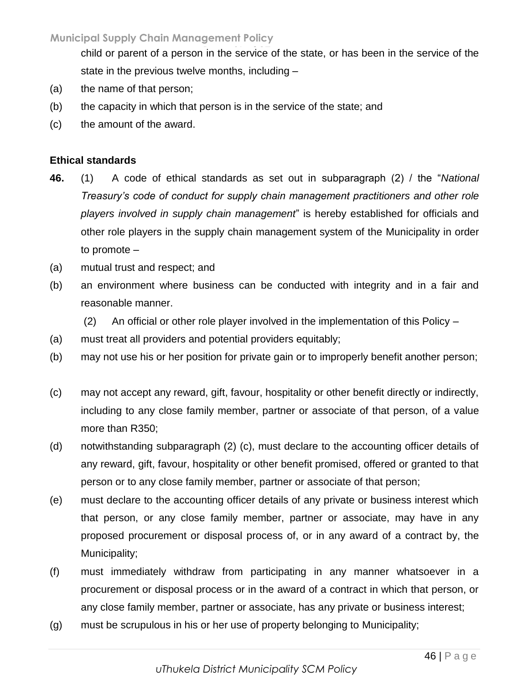child or parent of a person in the service of the state, or has been in the service of the state in the previous twelve months, including –

- (a) the name of that person;
- (b) the capacity in which that person is in the service of the state; and
- (c) the amount of the award.

# **Ethical standards**

- **46.** (1) A code of ethical standards as set out in subparagraph (2) / the "*National Treasury's code of conduct for supply chain management practitioners and other role players involved in supply chain management*" is hereby established for officials and other role players in the supply chain management system of the Municipality in order to promote –
- (a) mutual trust and respect; and
- (b) an environment where business can be conducted with integrity and in a fair and reasonable manner.
	- (2) An official or other role player involved in the implementation of this Policy –
- (a) must treat all providers and potential providers equitably;
- (b) may not use his or her position for private gain or to improperly benefit another person;
- (c) may not accept any reward, gift, favour, hospitality or other benefit directly or indirectly, including to any close family member, partner or associate of that person, of a value more than R350;
- (d) notwithstanding subparagraph (2) (c), must declare to the accounting officer details of any reward, gift, favour, hospitality or other benefit promised, offered or granted to that person or to any close family member, partner or associate of that person;
- (e) must declare to the accounting officer details of any private or business interest which that person, or any close family member, partner or associate, may have in any proposed procurement or disposal process of, or in any award of a contract by, the Municipality;
- (f) must immediately withdraw from participating in any manner whatsoever in a procurement or disposal process or in the award of a contract in which that person, or any close family member, partner or associate, has any private or business interest;
- (g) must be scrupulous in his or her use of property belonging to Municipality;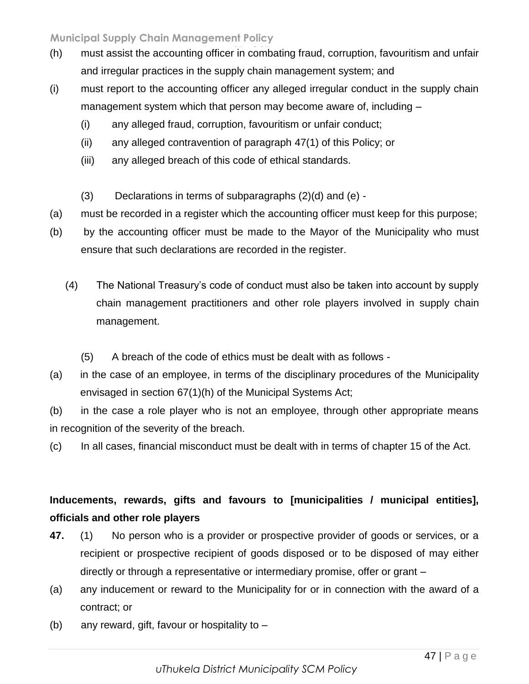- (h) must assist the accounting officer in combating fraud, corruption, favouritism and unfair **Page 47 of 37** and irregular practices in the supply chain management system; and
- (i) must report to the accounting officer any alleged irregular conduct in the supply chain management system which that person may become aware of, including –
	- (i) any alleged fraud, corruption, favouritism or unfair conduct;
	- (ii) any alleged contravention of paragraph 47(1) of this Policy; or
	- (iii) any alleged breach of this code of ethical standards.
	- (3) Declarations in terms of subparagraphs (2)(d) and (e) -
- (a) must be recorded in a register which the accounting officer must keep for this purpose;
- (b) by the accounting officer must be made to the Mayor of the Municipality who must ensure that such declarations are recorded in the register.
	- (4) The National Treasury's code of conduct must also be taken into account by supply chain management practitioners and other role players involved in supply chain management.
		- (5) A breach of the code of ethics must be dealt with as follows -
- (a) in the case of an employee, in terms of the disciplinary procedures of the Municipality envisaged in section 67(1)(h) of the Municipal Systems Act;

(b) in the case a role player who is not an employee, through other appropriate means in recognition of the severity of the breach.

(c) In all cases, financial misconduct must be dealt with in terms of chapter 15 of the Act.

# **Inducements, rewards, gifts and favours to [municipalities / municipal entities], officials and other role players**

- **47.** (1) No person who is a provider or prospective provider of goods or services, or a recipient or prospective recipient of goods disposed or to be disposed of may either directly or through a representative or intermediary promise, offer or grant –
- (a) any inducement or reward to the Municipality for or in connection with the award of a contract; or
- (b) any reward, gift, favour or hospitality to –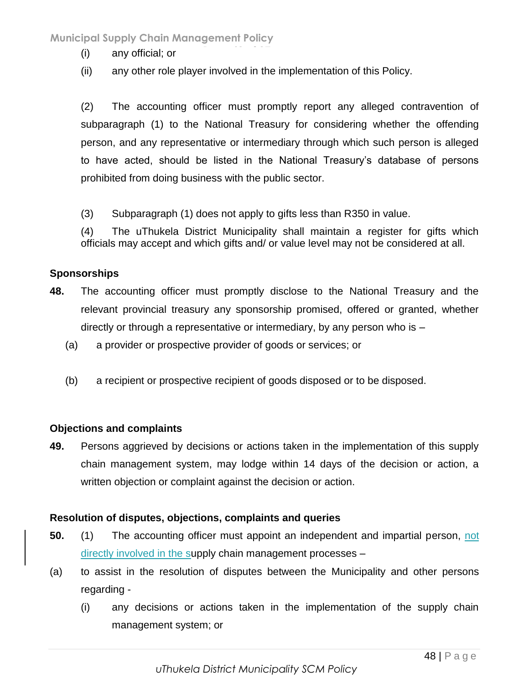- (i) any official; or **Page 48 of 37**
- (ii) any other role player involved in the implementation of this Policy.

(2) The accounting officer must promptly report any alleged contravention of subparagraph (1) to the National Treasury for considering whether the offending person, and any representative or intermediary through which such person is alleged to have acted, should be listed in the National Treasury's database of persons prohibited from doing business with the public sector.

(3) Subparagraph (1) does not apply to gifts less than R350 in value.

(4) The uThukela District Municipality shall maintain a register for gifts which officials may accept and which gifts and/ or value level may not be considered at all.

# **Sponsorships**

- **48.** The accounting officer must promptly disclose to the National Treasury and the relevant provincial treasury any sponsorship promised, offered or granted, whether directly or through a representative or intermediary, by any person who is –
	- (a) a provider or prospective provider of goods or services; or
	- (b) a recipient or prospective recipient of goods disposed or to be disposed.

# **Objections and complaints**

**49.** Persons aggrieved by decisions or actions taken in the implementation of this supply chain management system, may lodge within 14 days of the decision or action, a written objection or complaint against the decision or action.

# **Resolution of disputes, objections, complaints and queries**

- **50.** (1) The accounting officer must appoint an independent and impartial person, not directly involved in the supply chain management processes –
- (a) to assist in the resolution of disputes between the Municipality and other persons regarding -
	- (i) any decisions or actions taken in the implementation of the supply chain management system; or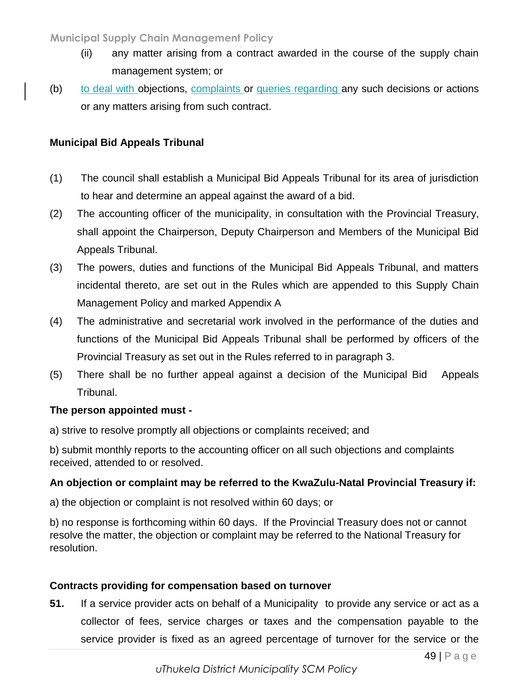- (ii) any matter arising from a contract awarded in the course of the supply chain management system; or
- (b) to deal with objections, complaints or queries regarding any such decisions or actions or any matters arising from such contract.

# **Municipal Bid Appeals Tribunal**

- (1) The council shall establish a Municipal Bid Appeals Tribunal for its area of jurisdiction to hear and determine an appeal against the award of a bid.
- (2) The accounting officer of the municipality, in consultation with the Provincial Treasury, shall appoint the Chairperson, Deputy Chairperson and Members of the Municipal Bid Appeals Tribunal.
- (3) The powers, duties and functions of the Municipal Bid Appeals Tribunal, and matters incidental thereto, are set out in the Rules which are appended to this Supply Chain Management Policy and marked Appendix A
- (4) The administrative and secretarial work involved in the performance of the duties and functions of the Municipal Bid Appeals Tribunal shall be performed by officers of the Provincial Treasury as set out in the Rules referred to in paragraph 3.
- (5) There shall be no further appeal against a decision of the Municipal Bid Appeals Tribunal.

# **The person appointed must -**

a) strive to resolve promptly all objections or complaints received; and

b) submit monthly reports to the accounting officer on all such objections and complaints received, attended to or resolved.

# **An objection or complaint may be referred to the KwaZulu-Natal Provincial Treasury if:**

a) the objection or complaint is not resolved within 60 days; or

b) no response is forthcoming within 60 days. If the Provincial Treasury does not or cannot resolve the matter, the objection or complaint may be referred to the National Treasury for resolution.

# **Contracts providing for compensation based on turnover**

**51.** If a service provider acts on behalf of a Municipality to provide any service or act as a collector of fees, service charges or taxes and the compensation payable to the service provider is fixed as an agreed percentage of turnover for the service or the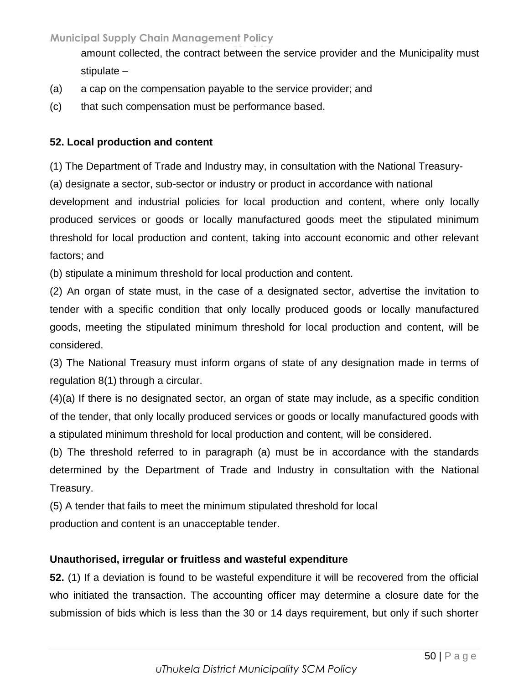amount collected, the contract between the service provider and the Municipality must stipulate –

- (a) a cap on the compensation payable to the service provider; and
- (c) that such compensation must be performance based.

# **52. Local production and content**

(1) The Department of Trade and Industry may, in consultation with the National Treasury-

(a) designate a sector, sub-sector or industry or product in accordance with national development and industrial policies for local production and content, where only locally produced services or goods or locally manufactured goods meet the stipulated minimum threshold for local production and content, taking into account economic and other relevant factors; and

(b) stipulate a minimum threshold for local production and content.

(2) An organ of state must, in the case of a designated sector, advertise the invitation to tender with a specific condition that only locally produced goods or locally manufactured goods, meeting the stipulated minimum threshold for local production and content, will be considered.

(3) The National Treasury must inform organs of state of any designation made in terms of regulation 8(1) through a circular.

(4)(a) If there is no designated sector, an organ of state may include, as a specific condition of the tender, that only locally produced services or goods or locally manufactured goods with a stipulated minimum threshold for local production and content, will be considered.

(b) The threshold referred to in paragraph (a) must be in accordance with the standards determined by the Department of Trade and Industry in consultation with the National Treasury.

(5) A tender that fails to meet the minimum stipulated threshold for local production and content is an unacceptable tender.

# **Unauthorised, irregular or fruitless and wasteful expenditure**

**52.** (1) If a deviation is found to be wasteful expenditure it will be recovered from the official who initiated the transaction. The accounting officer may determine a closure date for the submission of bids which is less than the 30 or 14 days requirement, but only if such shorter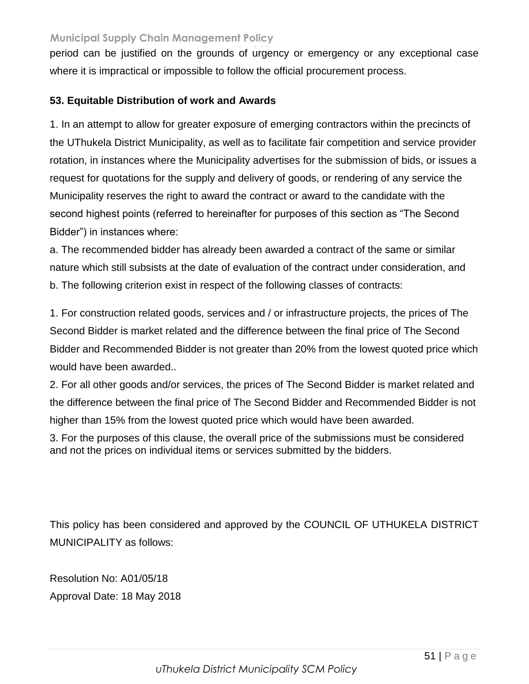period can be justified on the grounds of urgency or emergency or any exceptional case where it is impractical or impossible to follow the official procurement process.

# **53. Equitable Distribution of work and Awards**

1. In an attempt to allow for greater exposure of emerging contractors within the precincts of the UThukela District Municipality, as well as to facilitate fair competition and service provider rotation, in instances where the Municipality advertises for the submission of bids, or issues a request for quotations for the supply and delivery of goods, or rendering of any service the Municipality reserves the right to award the contract or award to the candidate with the second highest points (referred to hereinafter for purposes of this section as "The Second Bidder") in instances where:

a. The recommended bidder has already been awarded a contract of the same or similar nature which still subsists at the date of evaluation of the contract under consideration, and b. The following criterion exist in respect of the following classes of contracts:

1. For construction related goods, services and / or infrastructure projects, the prices of The Second Bidder is market related and the difference between the final price of The Second Bidder and Recommended Bidder is not greater than 20% from the lowest quoted price which would have been awarded..

2. For all other goods and/or services, the prices of The Second Bidder is market related and the difference between the final price of The Second Bidder and Recommended Bidder is not higher than 15% from the lowest quoted price which would have been awarded.

3. For the purposes of this clause, the overall price of the submissions must be considered and not the prices on individual items or services submitted by the bidders.

This policy has been considered and approved by the COUNCIL OF UTHUKELA DISTRICT MUNICIPALITY as follows:

Resolution No: A01/05/18 Approval Date: 18 May 2018